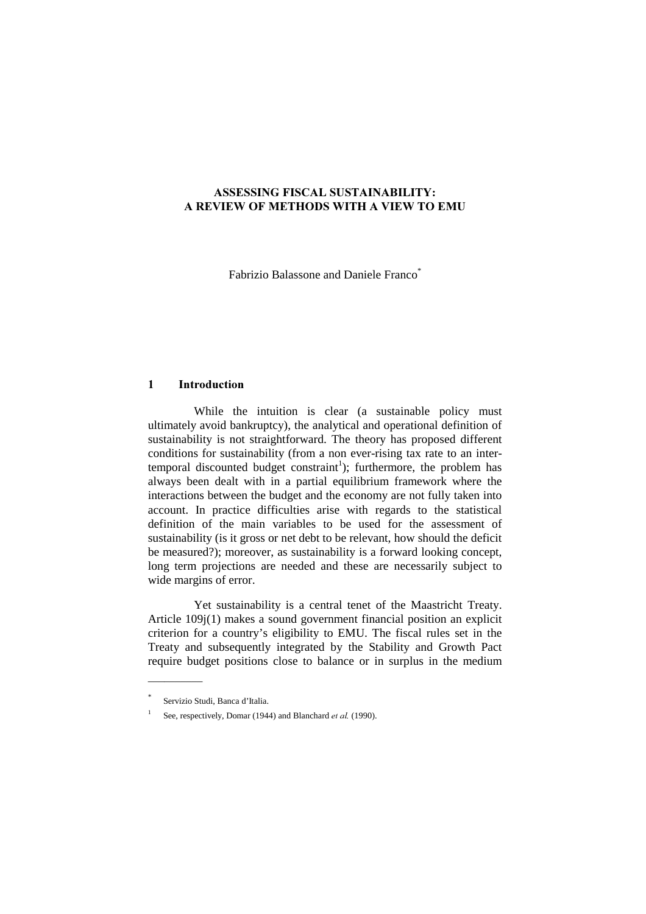# ASSESSING FISCAL SUSTAINABILITY: A REVIEW OF METHODS WITH A VIEW TO EMU

Fabrizio Balassone and Daniele Franco<sup>\*</sup>

### 1 Introduction

While the intuition is clear (a sustainable policy must ultimately avoid bankruptcy), the analytical and operational definition of sustainability is not straightforward. The theory has proposed different conditions for sustainability (from a non ever-rising tax rate to an intertemporal discounted budget constraint<sup>1</sup>); furthermore, the problem has always been dealt with in a partial equilibrium framework where the interactions between the budget and the economy are not fully taken into account. In practice difficulties arise with regards to the statistical definition of the main variables to be used for the assessment of sustainability (is it gross or net debt to be relevant, how should the deficit be measured?); moreover, as sustainability is a forward looking concept, long term projections are needed and these are necessarily subject to wide margins of error.

Yet sustainability is a central tenet of the Maastricht Treaty. Article 109j(1) makes a sound government financial position an explicit criterion for a country's eligibility to EMU. The fiscal rules set in the Treaty and subsequently integrated by the Stability and Growth Pact require budget positions close to balance or in surplus in the medium

Servizio Studi, Banca d'Italia.

See, respectively, Domar (1944) and Blanchard et al. (1990).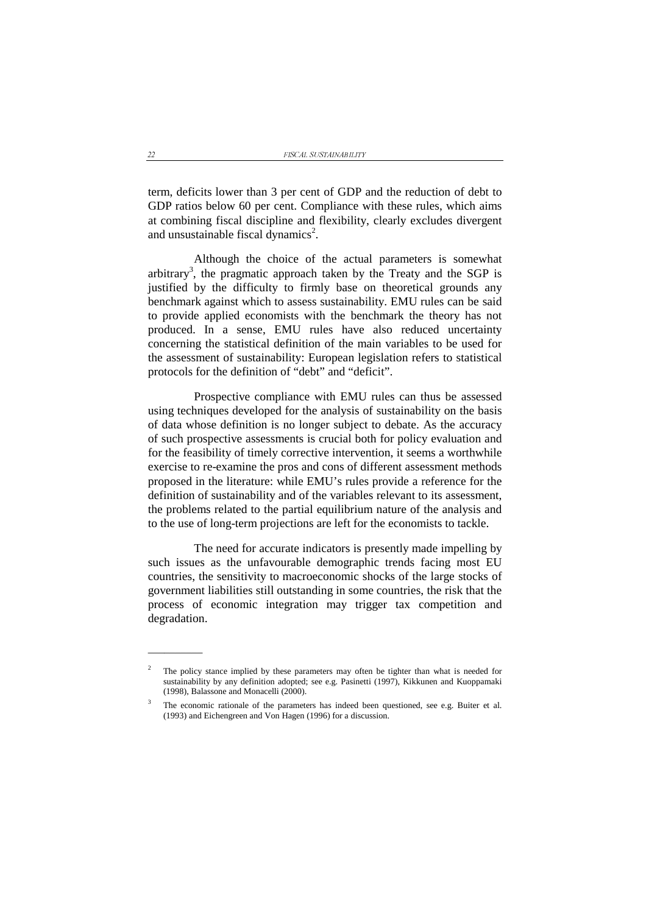term, deficits lower than 3 per cent of GDP and the reduction of debt to GDP ratios below 60 per cent. Compliance with these rules, which aims at combining fiscal discipline and flexibility, clearly excludes divergent and unsustainable fiscal dynamics<sup>2</sup>.

Although the choice of the actual parameters is somewhat arbitrary<sup>3</sup>, the pragmatic approach taken by the Treaty and the SGP is justified by the difficulty to firmly base on theoretical grounds any benchmark against which to assess sustainability. EMU rules can be said to provide applied economists with the benchmark the theory has not produced. In a sense, EMU rules have also reduced uncertainty concerning the statistical definition of the main variables to be used for the assessment of sustainability: European legislation refers to statistical protocols for the definition of "debt" and "deficit".

Prospective compliance with EMU rules can thus be assessed using techniques developed for the analysis of sustainability on the basis of data whose definition is no longer subject to debate. As the accuracy of such prospective assessments is crucial both for policy evaluation and for the feasibility of timely corrective intervention, it seems a worthwhile exercise to re-examine the pros and cons of different assessment methods proposed in the literature: while EMU's rules provide a reference for the definition of sustainability and of the variables relevant to its assessment, the problems related to the partial equilibrium nature of the analysis and to the use of long-term projections are left for the economists to tackle.

The need for accurate indicators is presently made impelling by such issues as the unfavourable demographic trends facing most EU countries, the sensitivity to macroeconomic shocks of the large stocks of government liabilities still outstanding in some countries, the risk that the process of economic integration may trigger tax competition and degradation.

<sup>2</sup> The policy stance implied by these parameters may often be tighter than what is needed for sustainability by any definition adopted; see e.g. Pasinetti (1997), Kikkunen and Kuoppamaki (1998), Balassone and Monacelli (2000).

The economic rationale of the parameters has indeed been questioned, see e.g. Buiter et al. (1993) and Eichengreen and Von Hagen (1996) for a discussion.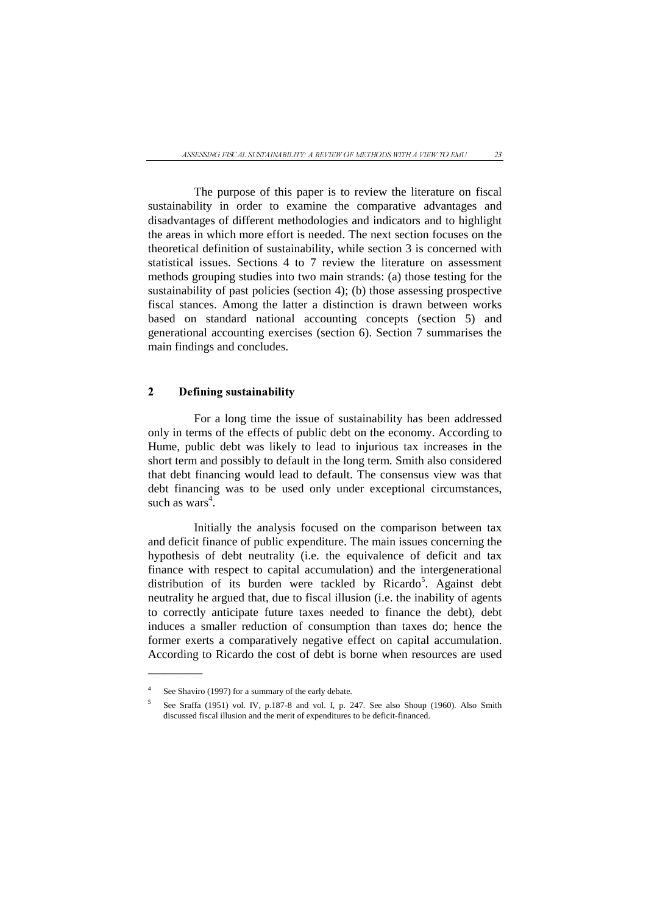The purpose of this paper is to review the literature on fiscal sustainability in order to examine the comparative advantages and disadvantages of different methodologies and indicators and to highlight the areas in which more effort is needed. The next section focuses on the theoretical definition of sustainability, while section 3 is concerned with statistical issues. Sections 4 to 7 review the literature on assessment methods grouping studies into two main strands: (a) those testing for the sustainability of past policies (section 4); (b) those assessing prospective fiscal stances. Among the latter a distinction is drawn between works based on standard national accounting concepts (section 5) and generational accounting exercises (section 6). Section 7 summarises the main findings and concludes.

# 2 Defining sustainability

For a long time the issue of sustainability has been addressed only in terms of the effects of public debt on the economy. According to Hume, public debt was likely to lead to injurious tax increases in the short term and possibly to default in the long term. Smith also considered that debt financing would lead to default. The consensus view was that debt financing was to be used only under exceptional circumstances, such as wars<sup>4</sup>.

Initially the analysis focused on the comparison between tax and deficit finance of public expenditure. The main issues concerning the hypothesis of debt neutrality (i.e. the equivalence of deficit and tax finance with respect to capital accumulation) and the intergenerational distribution of its burden were tackled by Ricardo<sup>5</sup>. Against debt neutrality he argued that, due to fiscal illusion (i.e. the inability of agents to correctly anticipate future taxes needed to finance the debt), debt induces a smaller reduction of consumption than taxes do; hence the former exerts a comparatively negative effect on capital accumulation. According to Ricardo the cost of debt is borne when resources are used

See Shaviro (1997) for a summary of the early debate.

<sup>5</sup> See Sraffa (1951) vol. IV, p.187-8 and vol. I, p. 247. See also Shoup (1960). Also Smith discussed fiscal illusion and the merit of expenditures to be deficit-financed.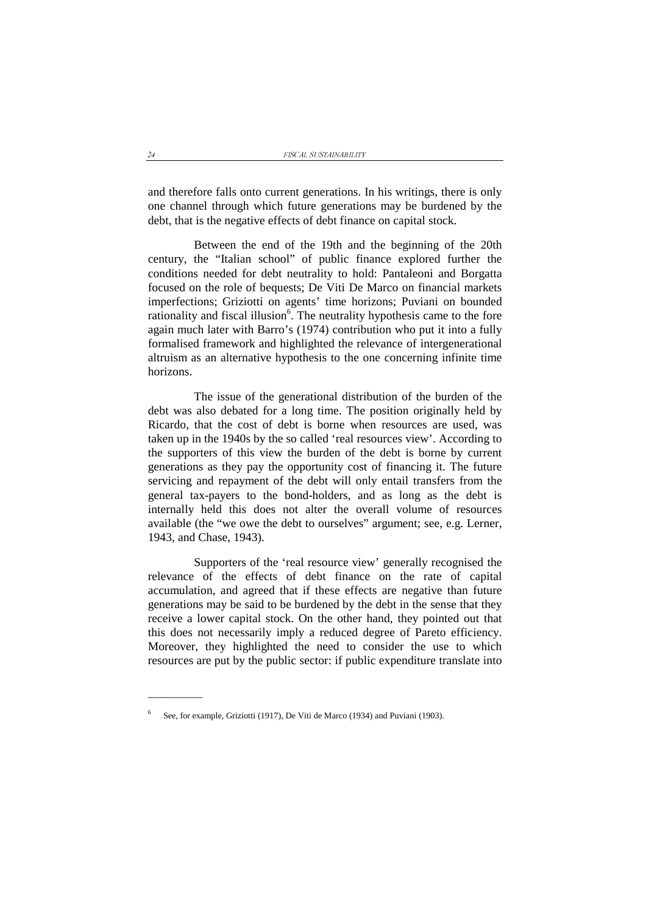and therefore falls onto current generations. In his writings, there is only one channel through which future generations may be burdened by the debt, that is the negative effects of debt finance on capital stock.

Between the end of the 19th and the beginning of the 20th century, the "Italian school" of public finance explored further the conditions needed for debt neutrality to hold: Pantaleoni and Borgatta focused on the role of bequests; De Viti De Marco on financial markets imperfections; Griziotti on agents' time horizons; Puviani on bounded rationality and fiscal illusion<sup>6</sup>. The neutrality hypothesis came to the fore again much later with Barro's (1974) contribution who put it into a fully formalised framework and highlighted the relevance of intergenerational altruism as an alternative hypothesis to the one concerning infinite time horizons.

The issue of the generational distribution of the burden of the debt was also debated for a long time. The position originally held by Ricardo, that the cost of debt is borne when resources are used, was taken up in the 1940s by the so called 'real resources view'. According to the supporters of this view the burden of the debt is borne by current generations as they pay the opportunity cost of financing it. The future servicing and repayment of the debt will only entail transfers from the general tax-payers to the bond-holders, and as long as the debt is internally held this does not alter the overall volume of resources available (the "we owe the debt to ourselves" argument; see, e.g. Lerner, 1943, and Chase, 1943).

Supporters of the 'real resource view' generally recognised the relevance of the effects of debt finance on the rate of capital accumulation, and agreed that if these effects are negative than future generations may be said to be burdened by the debt in the sense that they receive a lower capital stock. On the other hand, they pointed out that this does not necessarily imply a reduced degree of Pareto efficiency. Moreover, they highlighted the need to consider the use to which resources are put by the public sector: if public expenditure translate into

\_\_\_\_\_\_\_\_\_\_

<sup>6</sup> See, for example, Griziotti (1917), De Viti de Marco (1934) and Puviani (1903).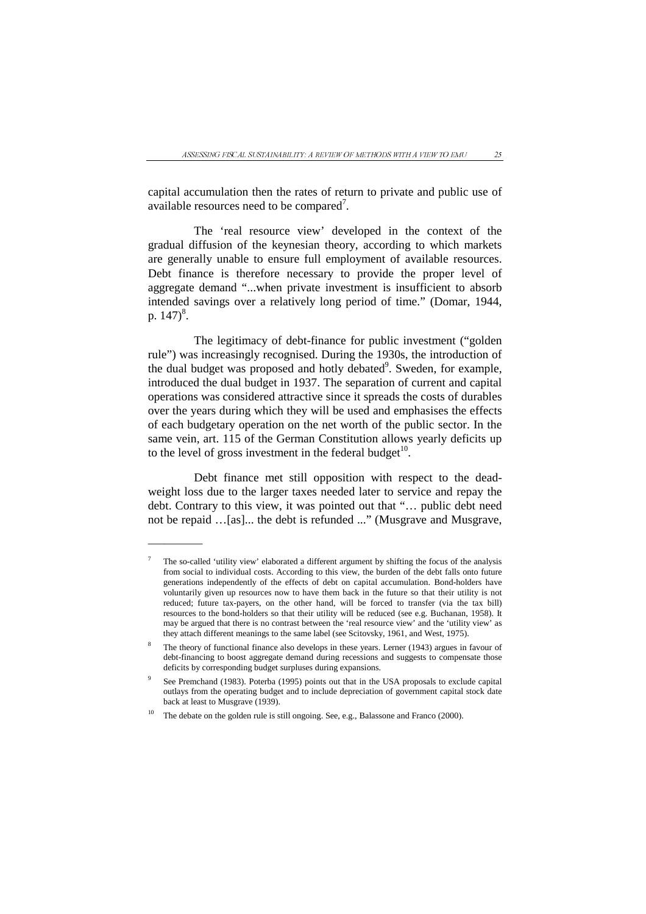capital accumulation then the rates of return to private and public use of available resources need to be compared<sup>7</sup>.

The 'real resource view' developed in the context of the gradual diffusion of the keynesian theory, according to which markets are generally unable to ensure full employment of available resources. Debt finance is therefore necessary to provide the proper level of aggregate demand "...when private investment is insufficient to absorb intended savings over a relatively long period of time." (Domar, 1944, p.  $147)^8$ .

The legitimacy of debt-finance for public investment ("golden rule") was increasingly recognised. During the 1930s, the introduction of the dual budget was proposed and hotly debated<sup>9</sup>. Sweden, for example, introduced the dual budget in 1937. The separation of current and capital operations was considered attractive since it spreads the costs of durables over the years during which they will be used and emphasises the effects of each budgetary operation on the net worth of the public sector. In the same vein, art. 115 of the German Constitution allows yearly deficits up to the level of gross investment in the federal budget $10$ .

Debt finance met still opposition with respect to the deadweight loss due to the larger taxes needed later to service and repay the debt. Contrary to this view, it was pointed out that "… public debt need not be repaid …[as]... the debt is refunded ..." (Musgrave and Musgrave,

\_\_\_\_\_\_\_\_\_\_

<sup>7</sup> The so-called 'utility view' elaborated a different argument by shifting the focus of the analysis from social to individual costs. According to this view, the burden of the debt falls onto future generations independently of the effects of debt on capital accumulation. Bond-holders have voluntarily given up resources now to have them back in the future so that their utility is not reduced; future tax-payers, on the other hand, will be forced to transfer (via the tax bill) resources to the bond-holders so that their utility will be reduced (see e.g. Buchanan, 1958). It may be argued that there is no contrast between the 'real resource view' and the 'utility view' as they attach different meanings to the same label (see Scitovsky, 1961, and West, 1975).

The theory of functional finance also develops in these years. Lerner (1943) argues in favour of debt-financing to boost aggregate demand during recessions and suggests to compensate those deficits by corresponding budget surpluses during expansions.

See Premchand (1983). Poterba (1995) points out that in the USA proposals to exclude capital outlays from the operating budget and to include depreciation of government capital stock date back at least to Musgrave (1939).

The debate on the golden rule is still ongoing. See, e.g., Balassone and Franco (2000).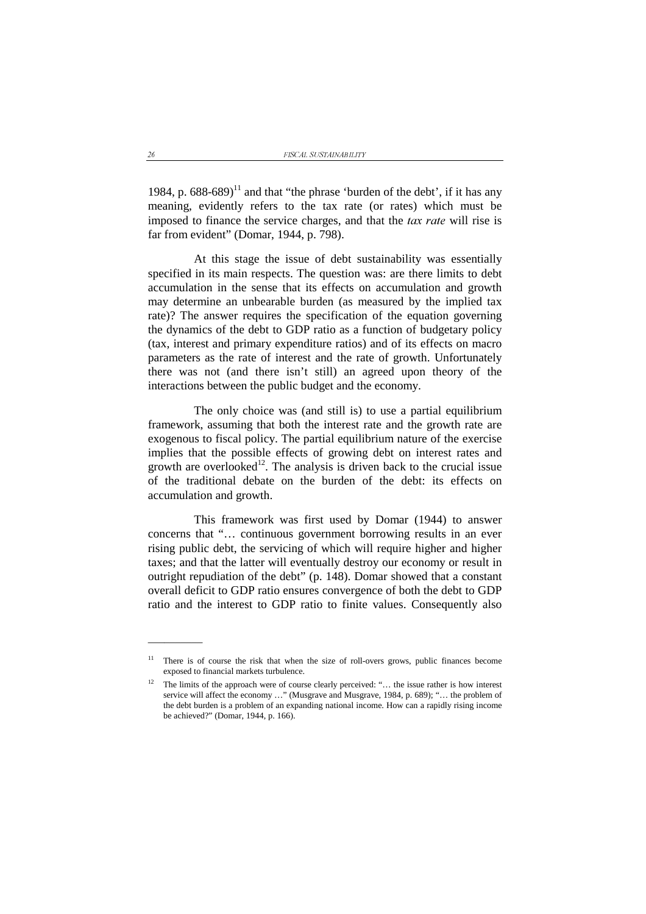1984, p.  $688-689$ <sup>11</sup> and that "the phrase 'burden of the debt', if it has any meaning, evidently refers to the tax rate (or rates) which must be imposed to finance the service charges, and that the tax rate will rise is far from evident" (Domar, 1944, p. 798).

At this stage the issue of debt sustainability was essentially specified in its main respects. The question was: are there limits to debt accumulation in the sense that its effects on accumulation and growth may determine an unbearable burden (as measured by the implied tax rate)? The answer requires the specification of the equation governing the dynamics of the debt to GDP ratio as a function of budgetary policy (tax, interest and primary expenditure ratios) and of its effects on macro parameters as the rate of interest and the rate of growth. Unfortunately there was not (and there isn't still) an agreed upon theory of the interactions between the public budget and the economy.

The only choice was (and still is) to use a partial equilibrium framework, assuming that both the interest rate and the growth rate are exogenous to fiscal policy. The partial equilibrium nature of the exercise implies that the possible effects of growing debt on interest rates and growth are overlooked<sup>12</sup>. The analysis is driven back to the crucial issue of the traditional debate on the burden of the debt: its effects on accumulation and growth.

This framework was first used by Domar (1944) to answer concerns that "… continuous government borrowing results in an ever rising public debt, the servicing of which will require higher and higher taxes; and that the latter will eventually destroy our economy or result in outright repudiation of the debt" (p. 148). Domar showed that a constant overall deficit to GDP ratio ensures convergence of both the debt to GDP ratio and the interest to GDP ratio to finite values. Consequently also

<sup>&</sup>lt;sup>11</sup> There is of course the risk that when the size of roll-overs grows, public finances become exposed to financial markets turbulence.

<sup>&</sup>lt;sup>12</sup> The limits of the approach were of course clearly perceived: "... the issue rather is how interest service will affect the economy …" (Musgrave and Musgrave, 1984, p. 689); "… the problem of the debt burden is a problem of an expanding national income. How can a rapidly rising income be achieved?" (Domar, 1944, p. 166).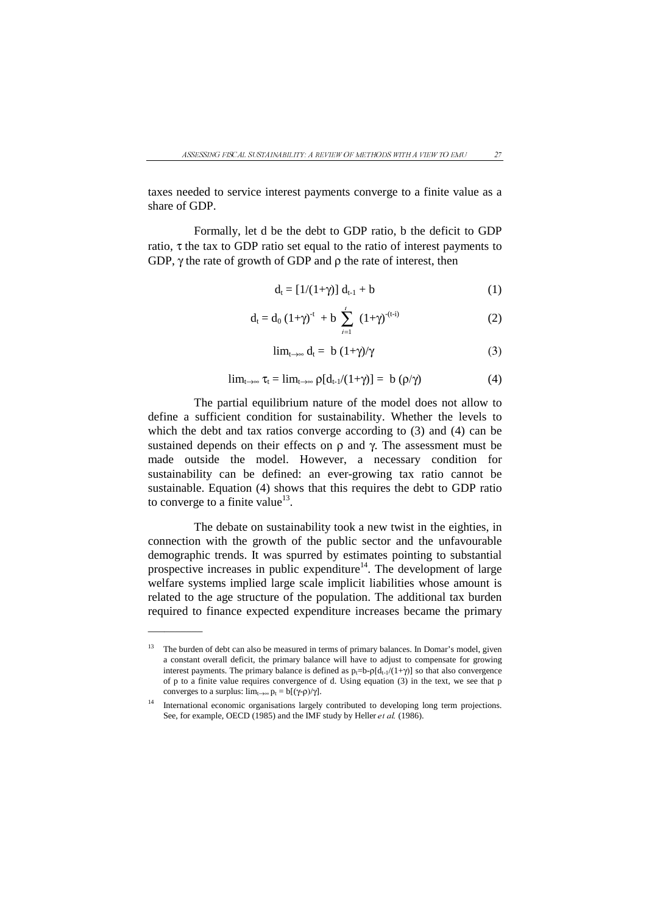taxes needed to service interest payments converge to a finite value as a share of GDP.

Formally, let d be the debt to GDP ratio, b the deficit to GDP ratio, τ the tax to GDP ratio set equal to the ratio of interest payments to GDP, γ the rate of growth of GDP and ρ the rate of interest, then

$$
d_t = [1/(1+\gamma)] d_{t-1} + b \tag{1}
$$

$$
d_t = d_0 (1+\gamma)^{-t} + b \sum_{i=1}^{t} (1+\gamma)^{-(t-i)}
$$
 (2)

$$
\lim_{t \to \infty} d_t = b (1+\gamma)/\gamma \tag{3}
$$

$$
\lim_{t \to \infty} \tau_t = \lim_{t \to \infty} \rho[d_{t-1}/(1+\gamma)] = b(\rho/\gamma)
$$
 (4)

The partial equilibrium nature of the model does not allow to define a sufficient condition for sustainability. Whether the levels to which the debt and tax ratios converge according to (3) and (4) can be sustained depends on their effects on  $\rho$  and  $\gamma$ . The assessment must be made outside the model. However, a necessary condition for sustainability can be defined: an ever-growing tax ratio cannot be sustainable. Equation (4) shows that this requires the debt to GDP ratio to converge to a finite value<sup>13</sup>.

The debate on sustainability took a new twist in the eighties, in connection with the growth of the public sector and the unfavourable demographic trends. It was spurred by estimates pointing to substantial prospective increases in public expenditure<sup>14</sup>. The development of large welfare systems implied large scale implicit liabilities whose amount is related to the age structure of the population. The additional tax burden required to finance expected expenditure increases became the primary

<sup>&</sup>lt;sup>13</sup> The burden of debt can also be measured in terms of primary balances. In Domar's model, given a constant overall deficit, the primary balance will have to adjust to compensate for growing interest payments. The primary balance is defined as  $p_t=b-p[d_{t-1}/(1+\gamma)]$  so that also convergence of p to a finite value requires convergence of d. Using equation (3) in the text, we see that p converges to a surplus:  $\lim_{t\to\infty} p_t = b[(\gamma-\rho)/\gamma]$ .

<sup>14</sup> International economic organisations largely contributed to developing long term projections. See, for example, OECD (1985) and the IMF study by Heller et al. (1986).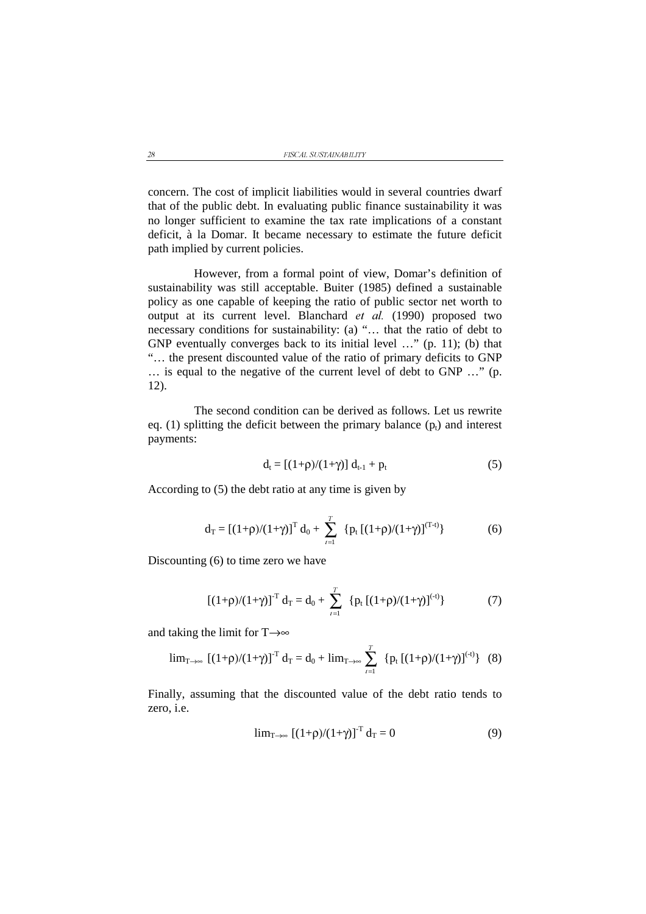concern. The cost of implicit liabilities would in several countries dwarf that of the public debt. In evaluating public finance sustainability it was no longer sufficient to examine the tax rate implications of a constant deficit, à la Domar. It became necessary to estimate the future deficit path implied by current policies.

However, from a formal point of view, Domar's definition of sustainability was still acceptable. Buiter (1985) defined a sustainable policy as one capable of keeping the ratio of public sector net worth to output at its current level. Blanchard et al. (1990) proposed two necessary conditions for sustainability: (a) "… that the ratio of debt to GNP eventually converges back to its initial level ..." (p. 11); (b) that "… the present discounted value of the ratio of primary deficits to GNP … is equal to the negative of the current level of debt to GNP …" (p. 12).

The second condition can be derived as follows. Let us rewrite eq. (1) splitting the deficit between the primary balance  $(p_t)$  and interest payments:

$$
d_t = [(1+\rho)/(1+\gamma)] d_{t-1} + p_t
$$
 (5)

According to (5) the debt ratio at any time is given by

$$
d_T = [(1+\rho)/(1+\gamma)]^T d_0 + \sum_{t=1}^T \{p_t [(1+\rho)/(1+\gamma)]^{(T-t)}\}
$$
(6)

Discounting (6) to time zero we have

$$
[(1+\rho)/(1+\gamma)]^{-T} d_T = d_0 + \sum_{t=1}^T \{p_t [(1+\rho)/(1+\gamma)]^{(-t)}\}
$$
 (7)

and taking the limit for T→∞

$$
\lim_{T \to \infty} \left[ (1+\rho)/(1+\gamma) \right]^T d_T = d_0 + \lim_{T \to \infty} \sum_{i=1}^T \left\{ p_t \left[ (1+\rho)/(1+\gamma) \right]^{(-t)} \right\} (8)
$$

Finally, assuming that the discounted value of the debt ratio tends to zero, i.e.

$$
\lim_{T \to \infty} \left[ (1+\rho)/(1+\gamma) \right]^{T} d_T = 0 \tag{9}
$$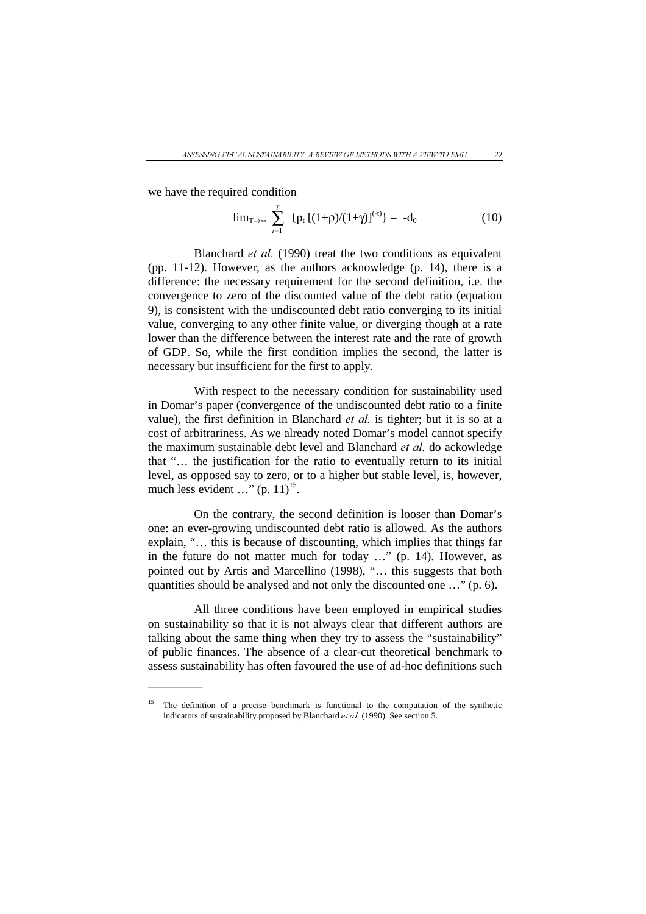we have the required condition

 $\overline{\phantom{a}}$ 

$$
\lim_{T \to \infty} \sum_{t=1}^{T} \{ p_t \left[ (1+\rho)/(1+\gamma) \right]^{(-t)} \} = -d_0 \tag{10}
$$

Blanchard et al. (1990) treat the two conditions as equivalent (pp. 11-12). However, as the authors acknowledge (p. 14), there is a difference: the necessary requirement for the second definition, i.e. the convergence to zero of the discounted value of the debt ratio (equation 9), is consistent with the undiscounted debt ratio converging to its initial value, converging to any other finite value, or diverging though at a rate lower than the difference between the interest rate and the rate of growth of GDP. So, while the first condition implies the second, the latter is necessary but insufficient for the first to apply.

With respect to the necessary condition for sustainability used in Domar's paper (convergence of the undiscounted debt ratio to a finite value), the first definition in Blanchard et al. is tighter; but it is so at a cost of arbitrariness. As we already noted Domar's model cannot specify the maximum sustainable debt level and Blanchard et al. do ackowledge that "… the justification for the ratio to eventually return to its initial level, as opposed say to zero, or to a higher but stable level, is, however, much less evident  $\ldots$ " (p. 11)<sup>15</sup>.

On the contrary, the second definition is looser than Domar's one: an ever-growing undiscounted debt ratio is allowed. As the authors explain, "… this is because of discounting, which implies that things far in the future do not matter much for today …" (p. 14). However, as pointed out by Artis and Marcellino (1998), "… this suggests that both quantities should be analysed and not only the discounted one …" (p. 6).

All three conditions have been employed in empirical studies on sustainability so that it is not always clear that different authors are talking about the same thing when they try to assess the "sustainability" of public finances. The absence of a clear-cut theoretical benchmark to assess sustainability has often favoured the use of ad-hoc definitions such

<sup>&</sup>lt;sup>15</sup> The definition of a precise benchmark is functional to the computation of the synthetic indicators of sustainability proposed by Blanchard et al. (1990). See section 5.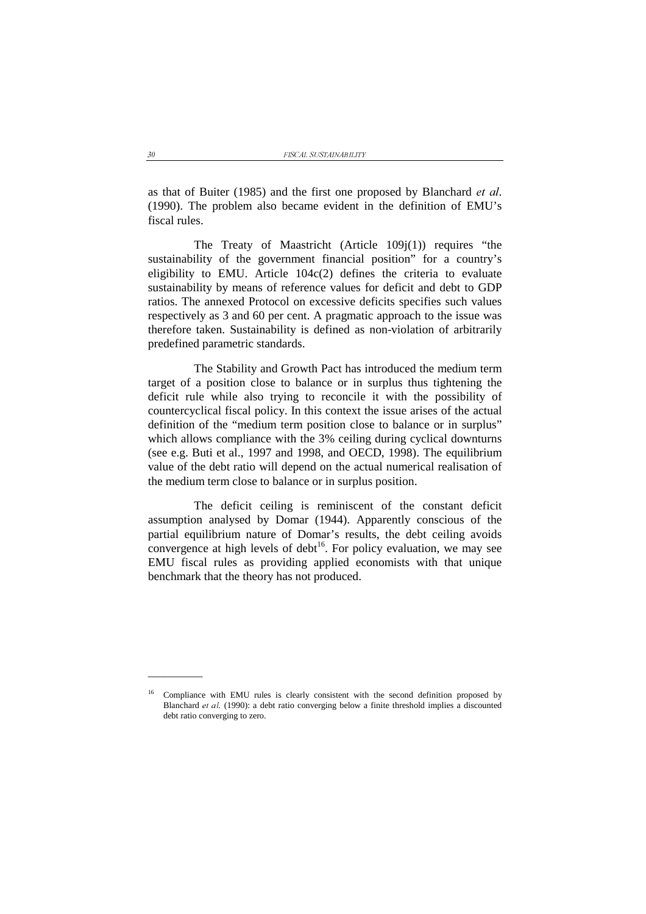as that of Buiter (1985) and the first one proposed by Blanchard et al. (1990). The problem also became evident in the definition of EMU's fiscal rules.

The Treaty of Maastricht (Article 109j(1)) requires "the sustainability of the government financial position" for a country's eligibility to EMU. Article 104c(2) defines the criteria to evaluate sustainability by means of reference values for deficit and debt to GDP ratios. The annexed Protocol on excessive deficits specifies such values respectively as 3 and 60 per cent. A pragmatic approach to the issue was therefore taken. Sustainability is defined as non-violation of arbitrarily predefined parametric standards.

The Stability and Growth Pact has introduced the medium term target of a position close to balance or in surplus thus tightening the deficit rule while also trying to reconcile it with the possibility of countercyclical fiscal policy. In this context the issue arises of the actual definition of the "medium term position close to balance or in surplus" which allows compliance with the 3% ceiling during cyclical downturns (see e.g. Buti et al., 1997 and 1998, and OECD, 1998). The equilibrium value of the debt ratio will depend on the actual numerical realisation of the medium term close to balance or in surplus position.

The deficit ceiling is reminiscent of the constant deficit assumption analysed by Domar (1944). Apparently conscious of the partial equilibrium nature of Domar's results, the debt ceiling avoids convergence at high levels of debt<sup>16</sup>. For policy evaluation, we may see EMU fiscal rules as providing applied economists with that unique benchmark that the theory has not produced.

<sup>&</sup>lt;sup>16</sup> Compliance with EMU rules is clearly consistent with the second definition proposed by Blanchard et al. (1990): a debt ratio converging below a finite threshold implies a discounted debt ratio converging to zero.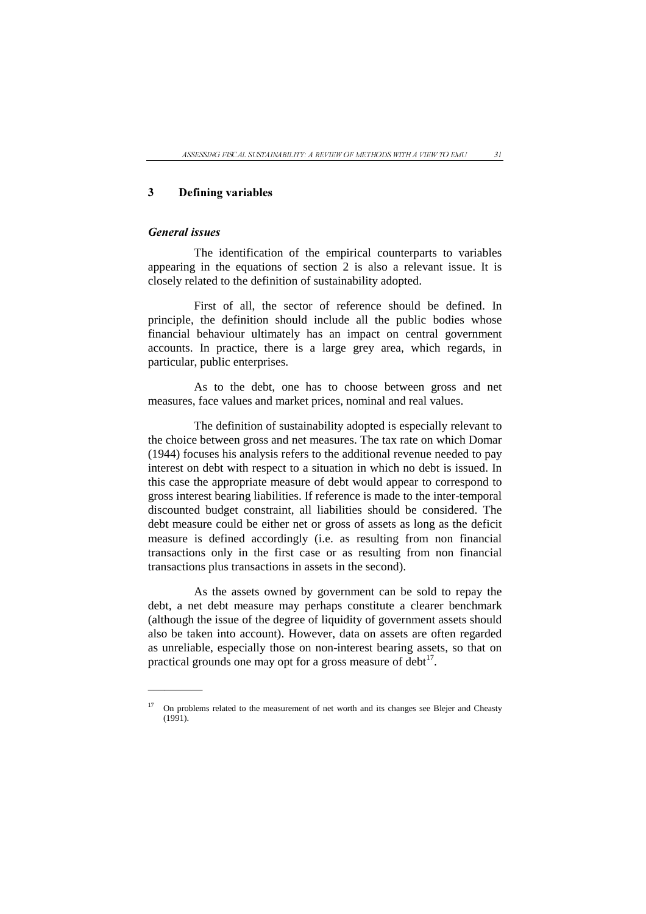### 3 Defining variables

### **General** issues

\_\_\_\_\_\_\_\_\_\_

The identification of the empirical counterparts to variables appearing in the equations of section 2 is also a relevant issue. It is closely related to the definition of sustainability adopted.

First of all, the sector of reference should be defined. In principle, the definition should include all the public bodies whose financial behaviour ultimately has an impact on central government accounts. In practice, there is a large grey area, which regards, in particular, public enterprises.

As to the debt, one has to choose between gross and net measures, face values and market prices, nominal and real values.

The definition of sustainability adopted is especially relevant to the choice between gross and net measures. The tax rate on which Domar (1944) focuses his analysis refers to the additional revenue needed to pay interest on debt with respect to a situation in which no debt is issued. In this case the appropriate measure of debt would appear to correspond to gross interest bearing liabilities. If reference is made to the inter-temporal discounted budget constraint, all liabilities should be considered. The debt measure could be either net or gross of assets as long as the deficit measure is defined accordingly (i.e. as resulting from non financial transactions only in the first case or as resulting from non financial transactions plus transactions in assets in the second).

As the assets owned by government can be sold to repay the debt, a net debt measure may perhaps constitute a clearer benchmark (although the issue of the degree of liquidity of government assets should also be taken into account). However, data on assets are often regarded as unreliable, especially those on non-interest bearing assets, so that on practical grounds one may opt for a gross measure of debt<sup>17</sup>.

<sup>&</sup>lt;sup>17</sup> On problems related to the measurement of net worth and its changes see Blejer and Cheasty  $(1991)$ .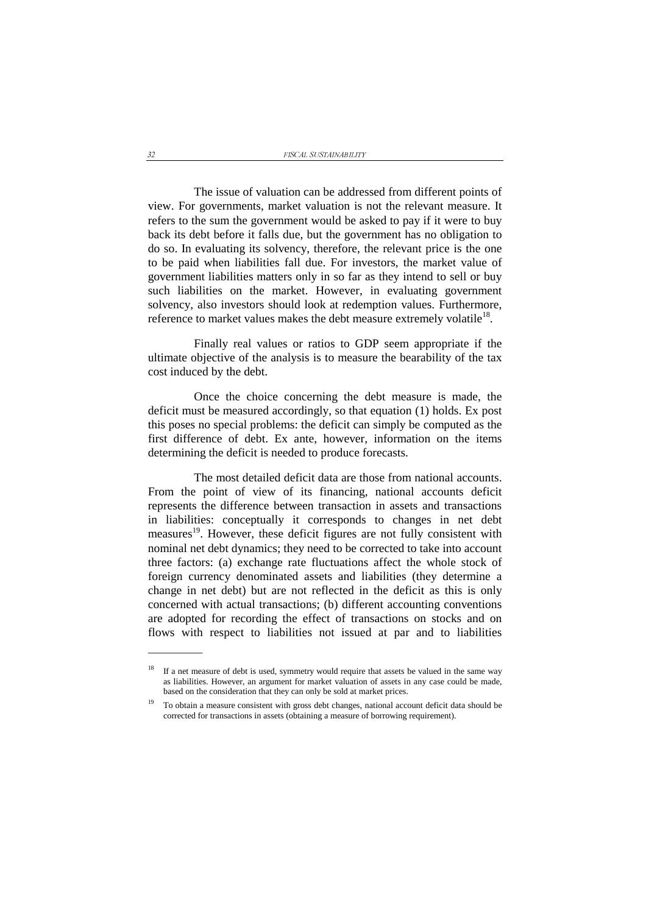The issue of valuation can be addressed from different points of view. For governments, market valuation is not the relevant measure. It refers to the sum the government would be asked to pay if it were to buy back its debt before it falls due, but the government has no obligation to do so. In evaluating its solvency, therefore, the relevant price is the one to be paid when liabilities fall due. For investors, the market value of government liabilities matters only in so far as they intend to sell or buy such liabilities on the market. However, in evaluating government solvency, also investors should look at redemption values. Furthermore, reference to market values makes the debt measure extremely volatile<sup>18</sup>.

Finally real values or ratios to GDP seem appropriate if the ultimate objective of the analysis is to measure the bearability of the tax cost induced by the debt.

Once the choice concerning the debt measure is made, the deficit must be measured accordingly, so that equation (1) holds. Ex post this poses no special problems: the deficit can simply be computed as the first difference of debt. Ex ante, however, information on the items determining the deficit is needed to produce forecasts.

The most detailed deficit data are those from national accounts. From the point of view of its financing, national accounts deficit represents the difference between transaction in assets and transactions in liabilities: conceptually it corresponds to changes in net debt measures<sup>19</sup>. However, these deficit figures are not fully consistent with nominal net debt dynamics; they need to be corrected to take into account three factors: (a) exchange rate fluctuations affect the whole stock of foreign currency denominated assets and liabilities (they determine a change in net debt) but are not reflected in the deficit as this is only concerned with actual transactions; (b) different accounting conventions are adopted for recording the effect of transactions on stocks and on flows with respect to liabilities not issued at par and to liabilities

<sup>&</sup>lt;sup>18</sup> If a net measure of debt is used, symmetry would require that assets be valued in the same way as liabilities. However, an argument for market valuation of assets in any case could be made, based on the consideration that they can only be sold at market prices.

<sup>&</sup>lt;sup>19</sup> To obtain a measure consistent with gross debt changes, national account deficit data should be corrected for transactions in assets (obtaining a measure of borrowing requirement).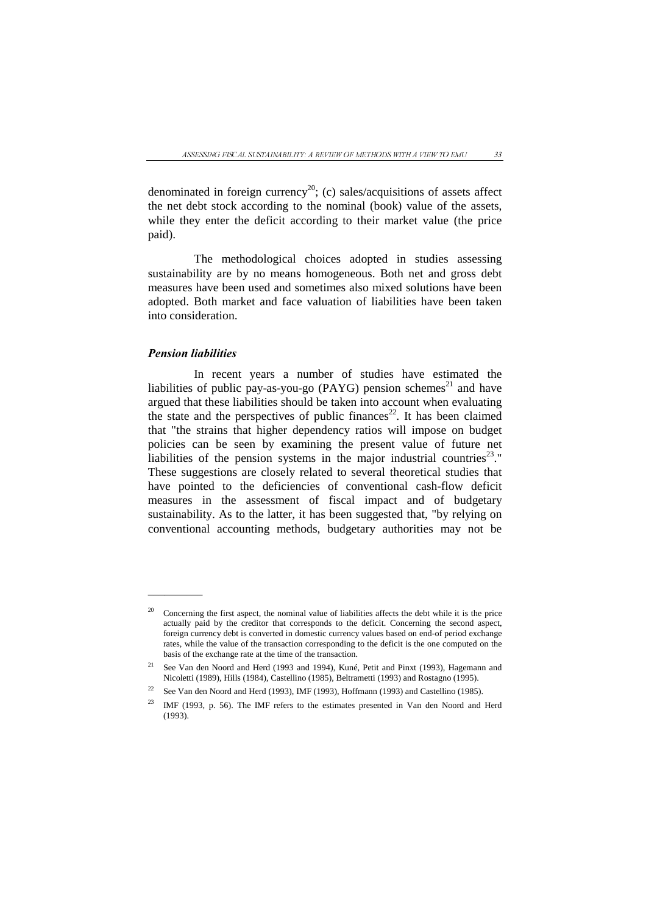denominated in foreign currency<sup>20</sup>; (c) sales/acquisitions of assets affect the net debt stock according to the nominal (book) value of the assets, while they enter the deficit according to their market value (the price paid).

The methodological choices adopted in studies assessing sustainability are by no means homogeneous. Both net and gross debt measures have been used and sometimes also mixed solutions have been adopted. Both market and face valuation of liabilities have been taken into consideration.

### **Pension liabilities**

 $\overline{\phantom{a}}$ 

In recent years a number of studies have estimated the liabilities of public pay-as-you-go (PAYG) pension schemes<sup>21</sup> and have argued that these liabilities should be taken into account when evaluating the state and the perspectives of public finances<sup>22</sup>. It has been claimed that "the strains that higher dependency ratios will impose on budget policies can be seen by examining the present value of future net liabilities of the pension systems in the major industrial countries<sup>23</sup>." These suggestions are closely related to several theoretical studies that have pointed to the deficiencies of conventional cash-flow deficit measures in the assessment of fiscal impact and of budgetary sustainability. As to the latter, it has been suggested that, "by relying on conventional accounting methods, budgetary authorities may not be

<sup>&</sup>lt;sup>20</sup> Concerning the first aspect, the nominal value of liabilities affects the debt while it is the price actually paid by the creditor that corresponds to the deficit. Concerning the second aspect, foreign currency debt is converted in domestic currency values based on end-of period exchange rates, while the value of the transaction corresponding to the deficit is the one computed on the basis of the exchange rate at the time of the transaction.

<sup>21</sup> See Van den Noord and Herd (1993 and 1994), Kuné, Petit and Pinxt (1993), Hagemann and Nicoletti (1989), Hills (1984), Castellino (1985), Beltrametti (1993) and Rostagno (1995).

<sup>&</sup>lt;sup>22</sup> See Van den Noord and Herd (1993), IMF (1993), Hoffmann (1993) and Castellino (1985).

<sup>23</sup> IMF (1993, p. 56). The IMF refers to the estimates presented in Van den Noord and Herd (1993).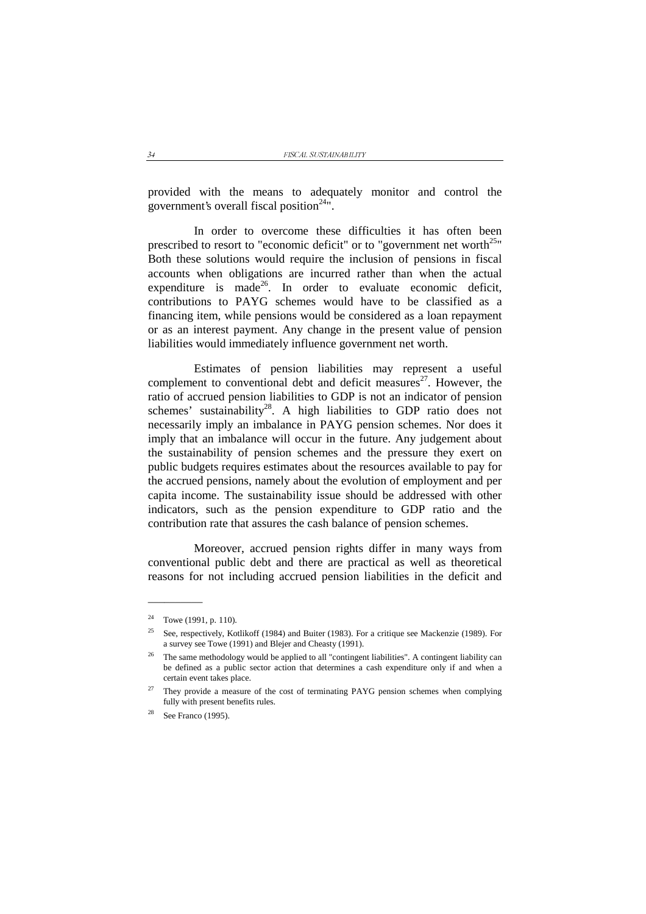provided with the means to adequately monitor and control the government's overall fiscal position $24$ ".

In order to overcome these difficulties it has often been prescribed to resort to "economic deficit" or to "government net worth<sup>25"</sup> Both these solutions would require the inclusion of pensions in fiscal accounts when obligations are incurred rather than when the actual expenditure is made<sup>26</sup>. In order to evaluate economic deficit, contributions to PAYG schemes would have to be classified as a financing item, while pensions would be considered as a loan repayment or as an interest payment. Any change in the present value of pension liabilities would immediately influence government net worth.

Estimates of pension liabilities may represent a useful complement to conventional debt and deficit measures<sup>27</sup>. However, the ratio of accrued pension liabilities to GDP is not an indicator of pension schemes' sustainability<sup>28</sup>. A high liabilities to GDP ratio does not necessarily imply an imbalance in PAYG pension schemes. Nor does it imply that an imbalance will occur in the future. Any judgement about the sustainability of pension schemes and the pressure they exert on public budgets requires estimates about the resources available to pay for the accrued pensions, namely about the evolution of employment and per capita income. The sustainability issue should be addressed with other indicators, such as the pension expenditure to GDP ratio and the contribution rate that assures the cash balance of pension schemes.

Moreover, accrued pension rights differ in many ways from conventional public debt and there are practical as well as theoretical reasons for not including accrued pension liabilities in the deficit and

<sup>&</sup>lt;sup>24</sup> Towe (1991, p. 110).

<sup>25</sup> See, respectively, Kotlikoff (1984) and Buiter (1983). For a critique see Mackenzie (1989). For a survey see Towe (1991) and Blejer and Cheasty (1991).

<sup>&</sup>lt;sup>26</sup> The same methodology would be applied to all "contingent liabilities". A contingent liability can be defined as a public sector action that determines a cash expenditure only if and when a certain event takes place.

 $27$  They provide a measure of the cost of terminating PAYG pension schemes when complying fully with present benefits rules.

See Franco (1995).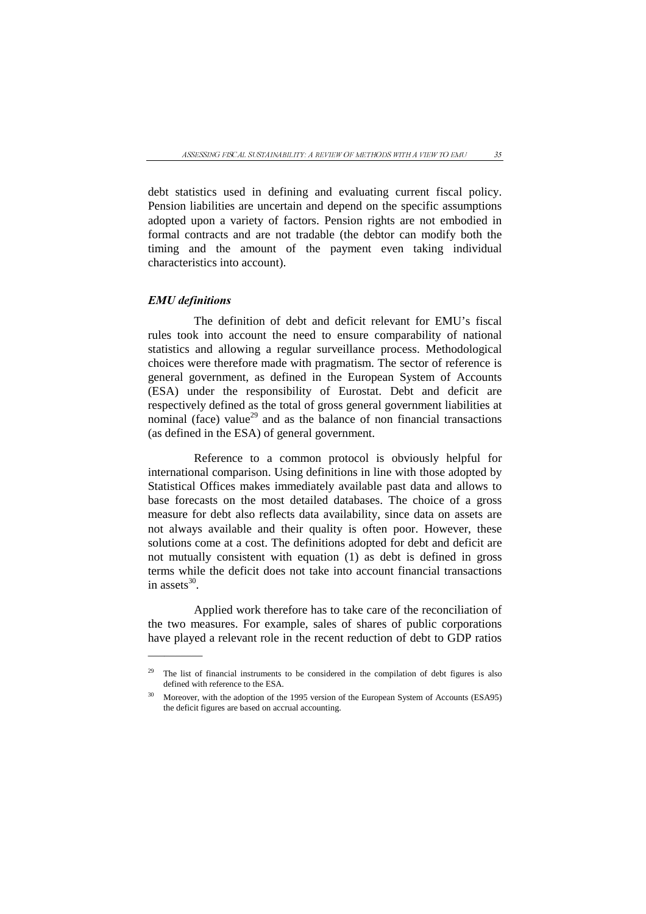debt statistics used in defining and evaluating current fiscal policy. Pension liabilities are uncertain and depend on the specific assumptions adopted upon a variety of factors. Pension rights are not embodied in formal contracts and are not tradable (the debtor can modify both the timing and the amount of the payment even taking individual characteristics into account).

### **EMU** definitions

 $\overline{\phantom{a}}$ 

The definition of debt and deficit relevant for EMU's fiscal rules took into account the need to ensure comparability of national statistics and allowing a regular surveillance process. Methodological choices were therefore made with pragmatism. The sector of reference is general government, as defined in the European System of Accounts (ESA) under the responsibility of Eurostat. Debt and deficit are respectively defined as the total of gross general government liabilities at nominal (face) value<sup>29</sup> and as the balance of non financial transactions (as defined in the ESA) of general government.

Reference to a common protocol is obviously helpful for international comparison. Using definitions in line with those adopted by Statistical Offices makes immediately available past data and allows to base forecasts on the most detailed databases. The choice of a gross measure for debt also reflects data availability, since data on assets are not always available and their quality is often poor. However, these solutions come at a cost. The definitions adopted for debt and deficit are not mutually consistent with equation (1) as debt is defined in gross terms while the deficit does not take into account financial transactions in assets $30$ .

Applied work therefore has to take care of the reconciliation of the two measures. For example, sales of shares of public corporations have played a relevant role in the recent reduction of debt to GDP ratios

 $29$  The list of financial instruments to be considered in the compilation of debt figures is also defined with reference to the ESA.

Moreover, with the adoption of the 1995 version of the European System of Accounts (ESA95) the deficit figures are based on accrual accounting.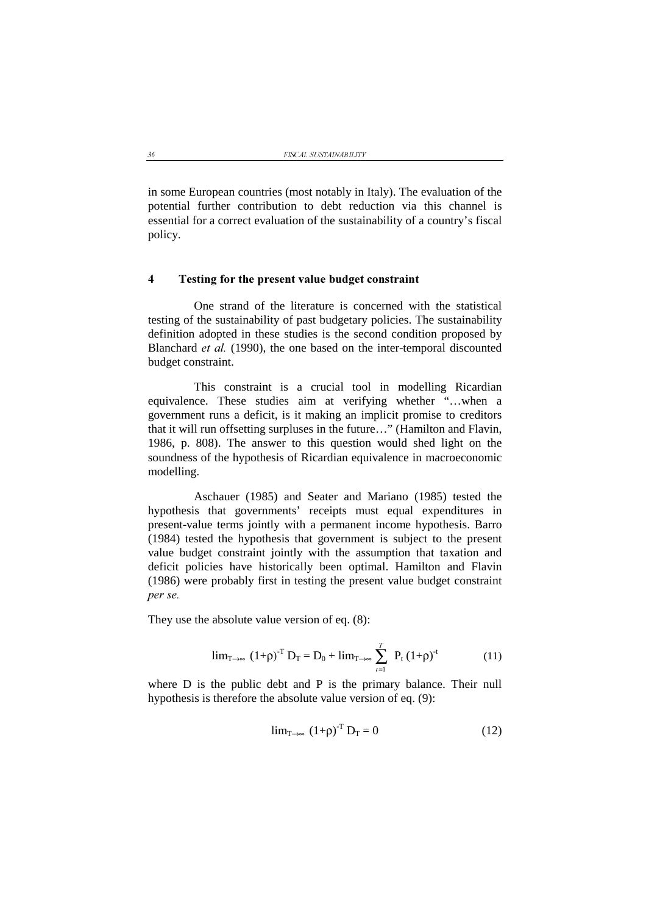in some European countries (most notably in Italy). The evaluation of the potential further contribution to debt reduction via this channel is essential for a correct evaluation of the sustainability of a country's fiscal policy.

### 4 Testing for the present value budget constraint

One strand of the literature is concerned with the statistical testing of the sustainability of past budgetary policies. The sustainability definition adopted in these studies is the second condition proposed by Blanchard et al. (1990), the one based on the inter-temporal discounted budget constraint.

This constraint is a crucial tool in modelling Ricardian equivalence. These studies aim at verifying whether "…when a government runs a deficit, is it making an implicit promise to creditors that it will run offsetting surpluses in the future…" (Hamilton and Flavin, 1986, p. 808). The answer to this question would shed light on the soundness of the hypothesis of Ricardian equivalence in macroeconomic modelling.

Aschauer (1985) and Seater and Mariano (1985) tested the hypothesis that governments' receipts must equal expenditures in present-value terms jointly with a permanent income hypothesis. Barro (1984) tested the hypothesis that government is subject to the present value budget constraint jointly with the assumption that taxation and deficit policies have historically been optimal. Hamilton and Flavin (1986) were probably first in testing the present value budget constraint per se.

They use the absolute value version of eq. (8):

$$
\lim_{T \to \infty} (1+\rho)^{-T} D_T = D_0 + \lim_{T \to \infty} \sum_{t=1}^{T} P_t (1+\rho)^{-t}
$$
 (11)

where D is the public debt and P is the primary balance. Their null hypothesis is therefore the absolute value version of eq. (9):

$$
\lim_{T \to \infty} (1+\rho)^{-T} D_T = 0 \tag{12}
$$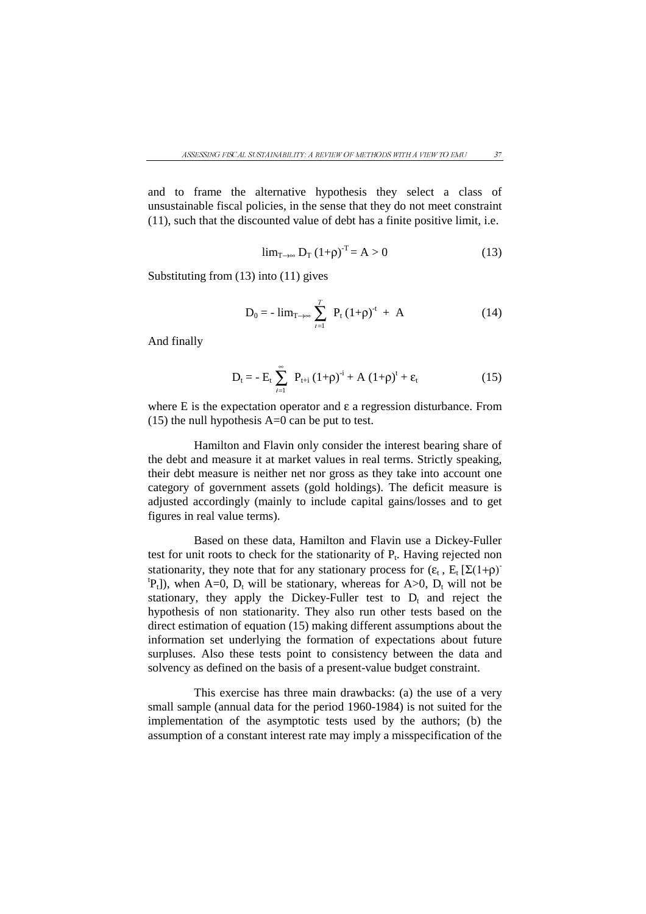and to frame the alternative hypothesis they select a class of unsustainable fiscal policies, in the sense that they do not meet constraint (11), such that the discounted value of debt has a finite positive limit, i.e.

$$
\lim_{T \to \infty} D_T (1+\rho)^{-T} = A > 0 \tag{13}
$$

Substituting from (13) into (11) gives

$$
D_0 = -\lim_{T \to \infty} \sum_{t=1}^{T} P_t (1+\rho)^{-t} + A
$$
 (14)

And finally

$$
D_{t} = -E_{t} \sum_{i=1}^{\infty} P_{t+i} (1+\rho)^{i} + A (1+\rho)^{t} + \varepsilon_{t}
$$
 (15)

where E is the expectation operator and  $\varepsilon$  a regression disturbance. From (15) the null hypothesis A=0 can be put to test.

Hamilton and Flavin only consider the interest bearing share of the debt and measure it at market values in real terms. Strictly speaking, their debt measure is neither net nor gross as they take into account one category of government assets (gold holdings). The deficit measure is adjusted accordingly (mainly to include capital gains/losses and to get figures in real value terms).

Based on these data, Hamilton and Flavin use a Dickey-Fuller test for unit roots to check for the stationarity of  $P_t$ . Having rejected non stationarity, they note that for any stationary process for  $(\varepsilon_t, E_t \Sigma(1+\rho))$ <sup>t</sup>P<sub>t</sub>]), when A=0, D<sub>t</sub> will be stationary, whereas for A>0, D<sub>t</sub> will not be stationary, they apply the Dickey-Fuller test to  $D_t$  and reject the hypothesis of non stationarity. They also run other tests based on the direct estimation of equation (15) making different assumptions about the information set underlying the formation of expectations about future surpluses. Also these tests point to consistency between the data and solvency as defined on the basis of a present-value budget constraint.

This exercise has three main drawbacks: (a) the use of a very small sample (annual data for the period 1960-1984) is not suited for the implementation of the asymptotic tests used by the authors; (b) the assumption of a constant interest rate may imply a misspecification of the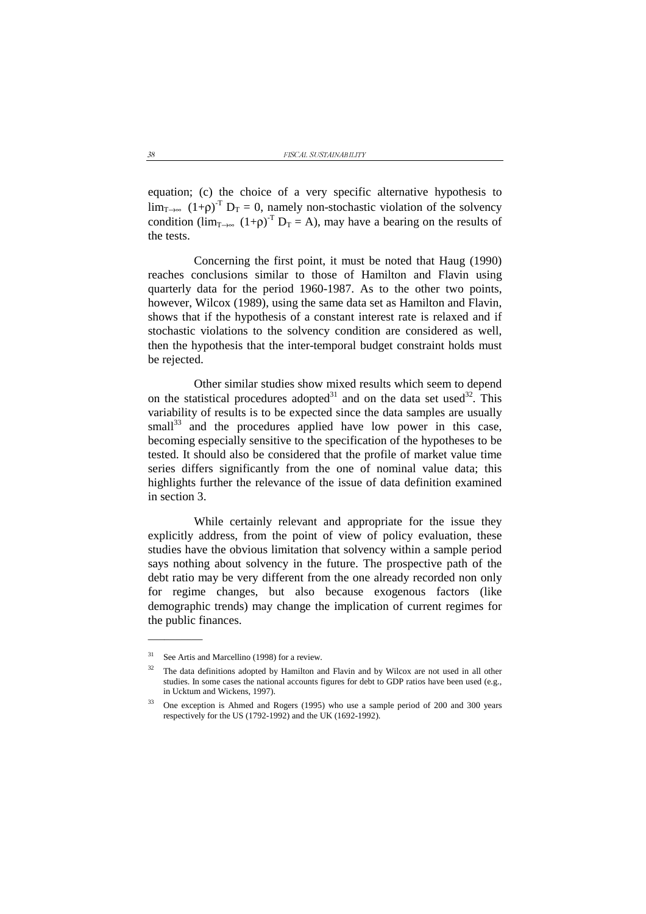equation; (c) the choice of a very specific alternative hypothesis to  $\lim_{T\to\infty} (1+\rho)^{-T} D_T = 0$ , namely non-stochastic violation of the solvency condition (lim<sub>T→∞</sub>  $(1+\rho)^{-T}$  D<sub>T</sub> = A), may have a bearing on the results of the tests.

Concerning the first point, it must be noted that Haug (1990) reaches conclusions similar to those of Hamilton and Flavin using quarterly data for the period 1960-1987. As to the other two points, however, Wilcox (1989), using the same data set as Hamilton and Flavin, shows that if the hypothesis of a constant interest rate is relaxed and if stochastic violations to the solvency condition are considered as well, then the hypothesis that the inter-temporal budget constraint holds must be rejected.

Other similar studies show mixed results which seem to depend on the statistical procedures adopted<sup>31</sup> and on the data set used<sup>32</sup>. This variability of results is to be expected since the data samples are usually small<sup>33</sup> and the procedures applied have low power in this case, becoming especially sensitive to the specification of the hypotheses to be tested. It should also be considered that the profile of market value time series differs significantly from the one of nominal value data; this highlights further the relevance of the issue of data definition examined in section 3.

While certainly relevant and appropriate for the issue they explicitly address, from the point of view of policy evaluation, these studies have the obvious limitation that solvency within a sample period says nothing about solvency in the future. The prospective path of the debt ratio may be very different from the one already recorded non only for regime changes, but also because exogenous factors (like demographic trends) may change the implication of current regimes for the public finances.

<sup>&</sup>lt;sup>31</sup> See Artis and Marcellino (1998) for a review.

<sup>&</sup>lt;sup>32</sup> The data definitions adopted by Hamilton and Flavin and by Wilcox are not used in all other studies. In some cases the national accounts figures for debt to GDP ratios have been used (e.g., in Ucktum and Wickens, 1997).

<sup>33</sup> One exception is Ahmed and Rogers (1995) who use a sample period of 200 and 300 years respectively for the US (1792-1992) and the UK (1692-1992).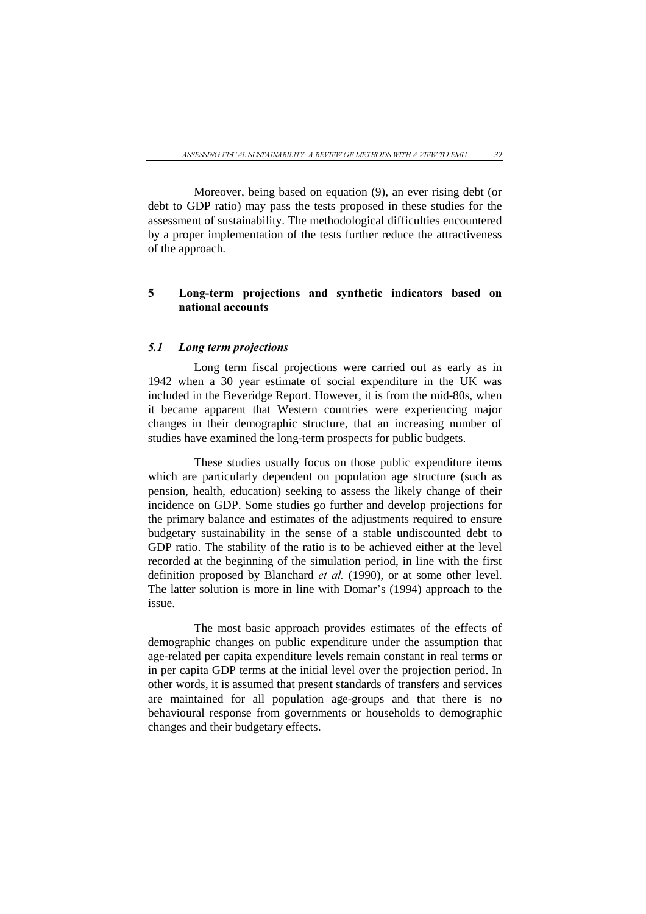Moreover, being based on equation (9), an ever rising debt (or debt to GDP ratio) may pass the tests proposed in these studies for the assessment of sustainability. The methodological difficulties encountered by a proper implementation of the tests further reduce the attractiveness of the approach.

# 5 Long-term projections and synthetic indicators based on national accounts

### 5.1 Long term projections

Long term fiscal projections were carried out as early as in 1942 when a 30 year estimate of social expenditure in the UK was included in the Beveridge Report. However, it is from the mid-80s, when it became apparent that Western countries were experiencing major changes in their demographic structure, that an increasing number of studies have examined the long-term prospects for public budgets.

These studies usually focus on those public expenditure items which are particularly dependent on population age structure (such as pension, health, education) seeking to assess the likely change of their incidence on GDP. Some studies go further and develop projections for the primary balance and estimates of the adjustments required to ensure budgetary sustainability in the sense of a stable undiscounted debt to GDP ratio. The stability of the ratio is to be achieved either at the level recorded at the beginning of the simulation period, in line with the first definition proposed by Blanchard et al. (1990), or at some other level. The latter solution is more in line with Domar's (1994) approach to the issue.

The most basic approach provides estimates of the effects of demographic changes on public expenditure under the assumption that age-related per capita expenditure levels remain constant in real terms or in per capita GDP terms at the initial level over the projection period. In other words, it is assumed that present standards of transfers and services are maintained for all population age-groups and that there is no behavioural response from governments or households to demographic changes and their budgetary effects.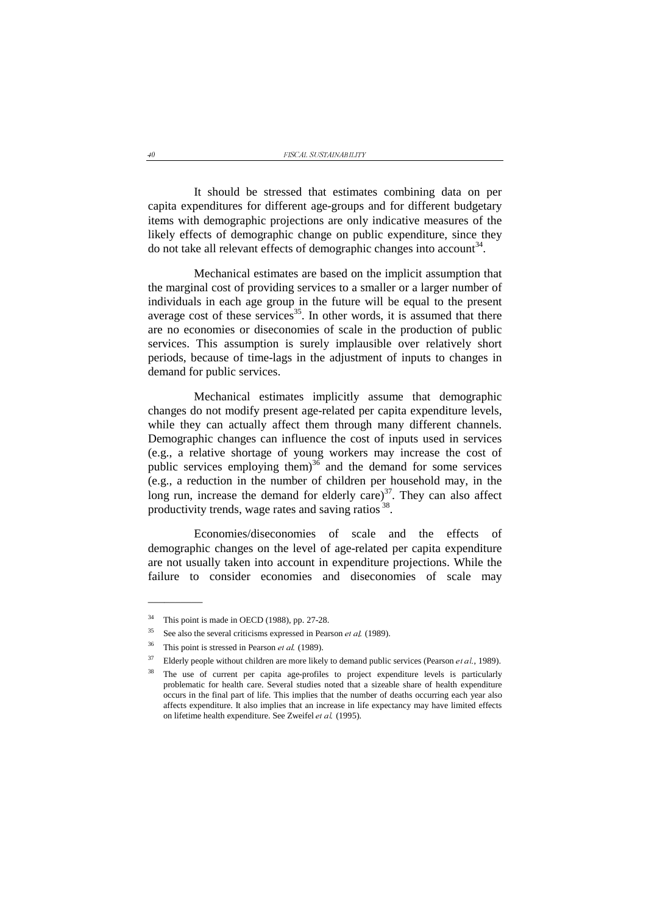It should be stressed that estimates combining data on per capita expenditures for different age-groups and for different budgetary items with demographic projections are only indicative measures of the likely effects of demographic change on public expenditure, since they do not take all relevant effects of demographic changes into account<sup>34</sup>.

Mechanical estimates are based on the implicit assumption that the marginal cost of providing services to a smaller or a larger number of individuals in each age group in the future will be equal to the present average cost of these services $35$ . In other words, it is assumed that there are no economies or diseconomies of scale in the production of public services. This assumption is surely implausible over relatively short periods, because of time-lags in the adjustment of inputs to changes in demand for public services.

Mechanical estimates implicitly assume that demographic changes do not modify present age-related per capita expenditure levels, while they can actually affect them through many different channels. Demographic changes can influence the cost of inputs used in services (e.g., a relative shortage of young workers may increase the cost of public services employing them) $36$  and the demand for some services (e.g., a reduction in the number of children per household may, in the long run, increase the demand for elderly care)<sup>37</sup>. They can also affect productivity trends, wage rates and saving ratios 38.

Economies/diseconomies of scale and the effects of demographic changes on the level of age-related per capita expenditure are not usually taken into account in expenditure projections. While the failure to consider economies and diseconomies of scale may

<sup>34</sup> This point is made in OECD (1988), pp. 27-28.

<sup>&</sup>lt;sup>35</sup> See also the several criticisms expressed in Pearson et al. (1989).

<sup>&</sup>lt;sup>36</sup> This point is stressed in Pearson et al. (1989).

<sup>&</sup>lt;sup>37</sup> Elderly people without children are more likely to demand public services (Pearson et al., 1989).

<sup>&</sup>lt;sup>38</sup> The use of current per capita age-profiles to project expenditure levels is particularly problematic for health care. Several studies noted that a sizeable share of health expenditure occurs in the final part of life. This implies that the number of deaths occurring each year also affects expenditure. It also implies that an increase in life expectancy may have limited effects on lifetime health expenditure. See Zweifel et al. (1995).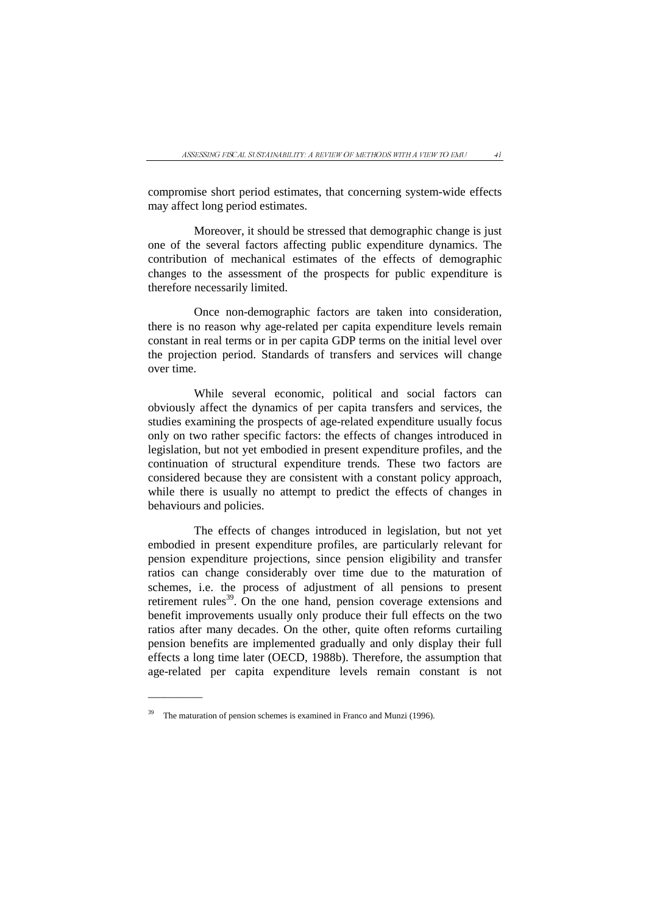compromise short period estimates, that concerning system-wide effects may affect long period estimates.

Moreover, it should be stressed that demographic change is just one of the several factors affecting public expenditure dynamics. The contribution of mechanical estimates of the effects of demographic changes to the assessment of the prospects for public expenditure is therefore necessarily limited.

Once non-demographic factors are taken into consideration, there is no reason why age-related per capita expenditure levels remain constant in real terms or in per capita GDP terms on the initial level over the projection period. Standards of transfers and services will change over time.

While several economic, political and social factors can obviously affect the dynamics of per capita transfers and services, the studies examining the prospects of age-related expenditure usually focus only on two rather specific factors: the effects of changes introduced in legislation, but not yet embodied in present expenditure profiles, and the continuation of structural expenditure trends. These two factors are considered because they are consistent with a constant policy approach, while there is usually no attempt to predict the effects of changes in behaviours and policies.

The effects of changes introduced in legislation, but not yet embodied in present expenditure profiles, are particularly relevant for pension expenditure projections, since pension eligibility and transfer ratios can change considerably over time due to the maturation of schemes, i.e. the process of adjustment of all pensions to present retirement rules<sup>39</sup>. On the one hand, pension coverage extensions and benefit improvements usually only produce their full effects on the two ratios after many decades. On the other, quite often reforms curtailing pension benefits are implemented gradually and only display their full effects a long time later (OECD, 1988b). Therefore, the assumption that age-related per capita expenditure levels remain constant is not

\_\_\_\_\_\_\_\_\_\_

<sup>&</sup>lt;sup>39</sup> The maturation of pension schemes is examined in Franco and Munzi (1996).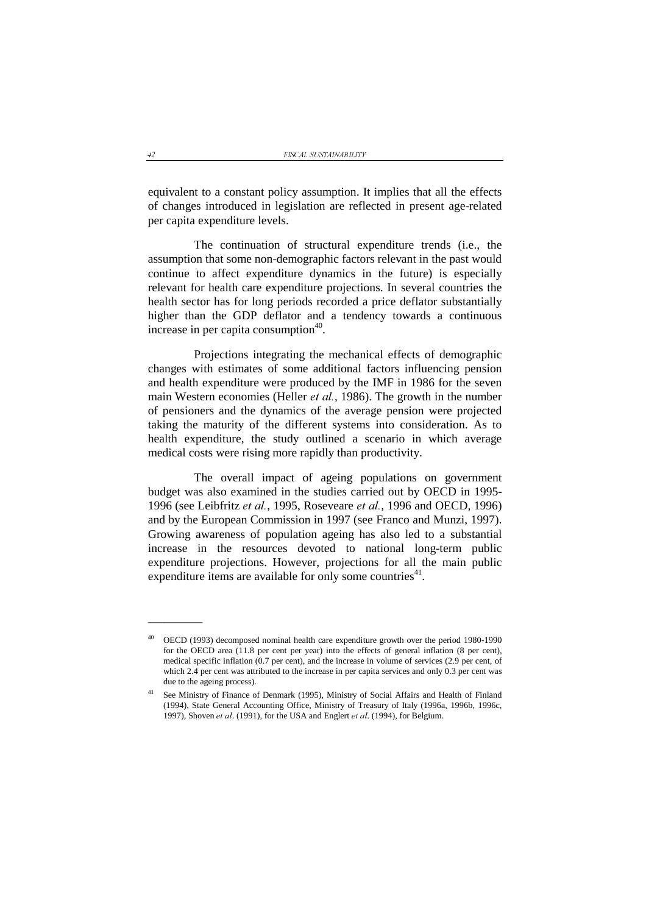equivalent to a constant policy assumption. It implies that all the effects of changes introduced in legislation are reflected in present age-related per capita expenditure levels.

The continuation of structural expenditure trends (i.e., the assumption that some non-demographic factors relevant in the past would continue to affect expenditure dynamics in the future) is especially relevant for health care expenditure projections. In several countries the health sector has for long periods recorded a price deflator substantially higher than the GDP deflator and a tendency towards a continuous increase in per capita consumption<sup>40</sup>.

Projections integrating the mechanical effects of demographic changes with estimates of some additional factors influencing pension and health expenditure were produced by the IMF in 1986 for the seven main Western economies (Heller et al., 1986). The growth in the number of pensioners and the dynamics of the average pension were projected taking the maturity of the different systems into consideration. As to health expenditure, the study outlined a scenario in which average medical costs were rising more rapidly than productivity.

The overall impact of ageing populations on government budget was also examined in the studies carried out by OECD in 1995- 1996 (see Leibfritz et al., 1995, Roseveare et al., 1996 and OECD, 1996) and by the European Commission in 1997 (see Franco and Munzi, 1997). Growing awareness of population ageing has also led to a substantial increase in the resources devoted to national long-term public expenditure projections. However, projections for all the main public expenditure items are available for only some countries<sup>41</sup>.

\_\_\_\_\_\_\_\_\_\_

<sup>40</sup> OECD (1993) decomposed nominal health care expenditure growth over the period 1980-1990 for the OECD area (11.8 per cent per year) into the effects of general inflation (8 per cent), medical specific inflation (0.7 per cent), and the increase in volume of services (2.9 per cent, of which 2.4 per cent was attributed to the increase in per capita services and only 0.3 per cent was due to the ageing process).

<sup>41</sup> See Ministry of Finance of Denmark (1995), Ministry of Social Affairs and Health of Finland (1994), State General Accounting Office, Ministry of Treasury of Italy (1996a, 1996b, 1996c, 1997), Shoven et al. (1991), for the USA and Englert et al. (1994), for Belgium.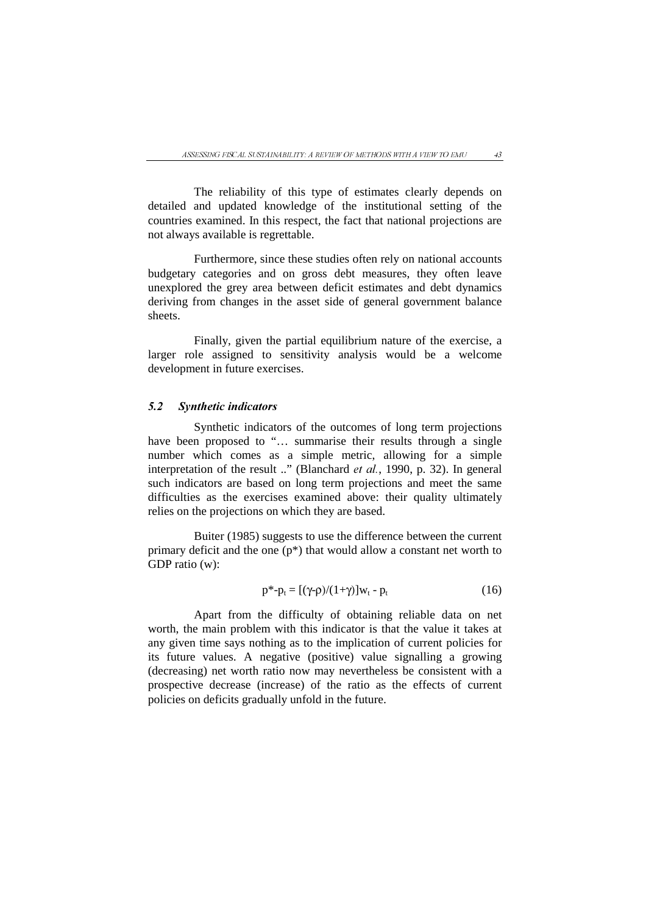The reliability of this type of estimates clearly depends on detailed and updated knowledge of the institutional setting of the countries examined. In this respect, the fact that national projections are not always available is regrettable.

Furthermore, since these studies often rely on national accounts budgetary categories and on gross debt measures, they often leave unexplored the grey area between deficit estimates and debt dynamics deriving from changes in the asset side of general government balance sheets.

Finally, given the partial equilibrium nature of the exercise, a larger role assigned to sensitivity analysis would be a welcome development in future exercises.

### 5.2 Synthetic indicators

Synthetic indicators of the outcomes of long term projections have been proposed to "... summarise their results through a single number which comes as a simple metric, allowing for a simple interpretation of the result .." (Blanchard *et al.*, 1990, p. 32). In general such indicators are based on long term projections and meet the same difficulties as the exercises examined above: their quality ultimately relies on the projections on which they are based.

Buiter (1985) suggests to use the difference between the current primary deficit and the one  $(p^*)$  that would allow a constant net worth to GDP ratio (w):

$$
p^* - p_t = [(\gamma - \rho)/(1 + \gamma)]w_t - p_t \qquad (16)
$$

Apart from the difficulty of obtaining reliable data on net worth, the main problem with this indicator is that the value it takes at any given time says nothing as to the implication of current policies for its future values. A negative (positive) value signalling a growing (decreasing) net worth ratio now may nevertheless be consistent with a prospective decrease (increase) of the ratio as the effects of current policies on deficits gradually unfold in the future.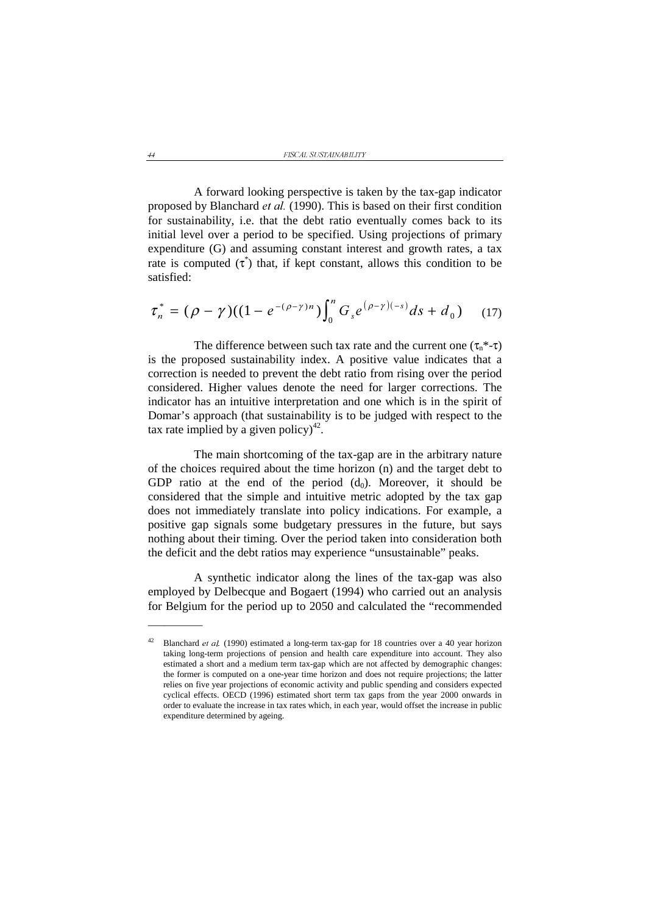A forward looking perspective is taken by the tax-gap indicator proposed by Blanchard et al. (1990). This is based on their first condition for sustainability, i.e. that the debt ratio eventually comes back to its initial level over a period to be specified. Using projections of primary expenditure (G) and assuming constant interest and growth rates, a tax rate is computed  $(\tau^*)$  that, if kept constant, allows this condition to be satisfied:

$$
\tau_n^* = (\rho - \gamma)((1 - e^{-(\rho - \gamma)n}) \int_0^n G_s e^{(\rho - \gamma)(-s)} ds + d_0)
$$
 (17)

The difference between such tax rate and the current one  $(\tau_n^*$ -τ) is the proposed sustainability index. A positive value indicates that a correction is needed to prevent the debt ratio from rising over the period considered. Higher values denote the need for larger corrections. The indicator has an intuitive interpretation and one which is in the spirit of Domar's approach (that sustainability is to be judged with respect to the tax rate implied by a given policy) $^{42}$ .

The main shortcoming of the tax-gap are in the arbitrary nature of the choices required about the time horizon (n) and the target debt to GDP ratio at the end of the period  $(d_0)$ . Moreover, it should be considered that the simple and intuitive metric adopted by the tax gap does not immediately translate into policy indications. For example, a positive gap signals some budgetary pressures in the future, but says nothing about their timing. Over the period taken into consideration both the deficit and the debt ratios may experience "unsustainable" peaks.

A synthetic indicator along the lines of the tax-gap was also employed by Delbecque and Bogaert (1994) who carried out an analysis for Belgium for the period up to 2050 and calculated the "recommended

\_\_\_\_\_\_\_\_\_\_

<sup>&</sup>lt;sup>42</sup> Blanchard et al. (1990) estimated a long-term tax-gap for 18 countries over a 40 year horizon taking long-term projections of pension and health care expenditure into account. They also estimated a short and a medium term tax-gap which are not affected by demographic changes: the former is computed on a one-year time horizon and does not require projections; the latter relies on five year projections of economic activity and public spending and considers expected cyclical effects. OECD (1996) estimated short term tax gaps from the year 2000 onwards in order to evaluate the increase in tax rates which, in each year, would offset the increase in public expenditure determined by ageing.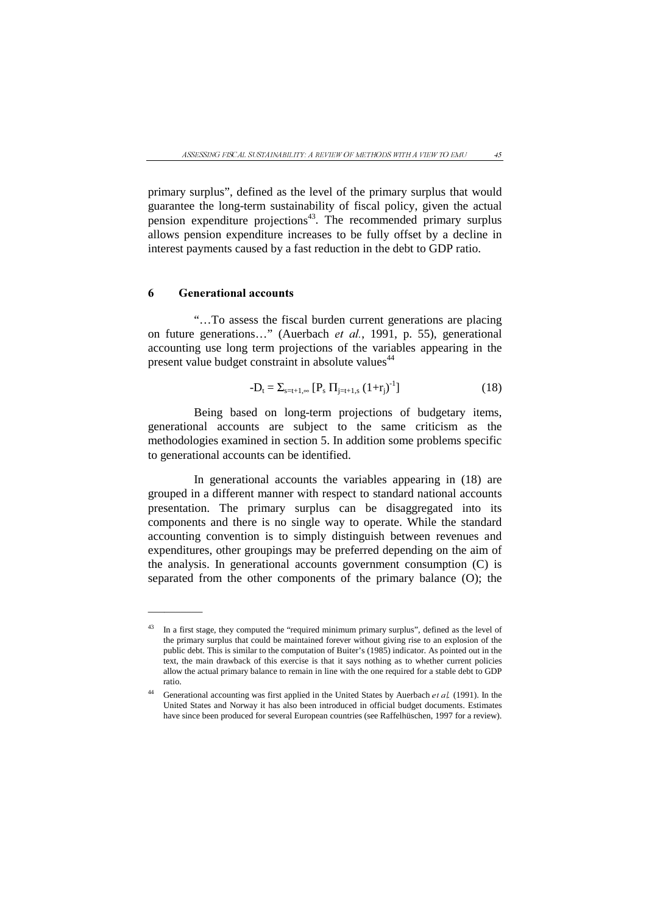primary surplus", defined as the level of the primary surplus that would guarantee the long-term sustainability of fiscal policy, given the actual pension expenditure projections<sup>43</sup>. The recommended primary surplus allows pension expenditure increases to be fully offset by a decline in interest payments caused by a fast reduction in the debt to GDP ratio.

### 6 Generational accounts

 $\overline{\phantom{a}}$ 

"…To assess the fiscal burden current generations are placing on future generations..." (Auerbach et al., 1991, p. 55), generational accounting use long term projections of the variables appearing in the present value budget constraint in absolute values<sup>44</sup>

$$
-D_{t} = \sum_{s=t+1,\infty} [P_s \Pi_{j=t+1,s} (1+r_j)^{-1}]
$$
 (18)

Being based on long-term projections of budgetary items, generational accounts are subject to the same criticism as the methodologies examined in section 5. In addition some problems specific to generational accounts can be identified.

In generational accounts the variables appearing in (18) are grouped in a different manner with respect to standard national accounts presentation. The primary surplus can be disaggregated into its components and there is no single way to operate. While the standard accounting convention is to simply distinguish between revenues and expenditures, other groupings may be preferred depending on the aim of the analysis. In generational accounts government consumption (C) is separated from the other components of the primary balance (O); the

In a first stage, they computed the "required minimum primary surplus", defined as the level of the primary surplus that could be maintained forever without giving rise to an explosion of the public debt. This is similar to the computation of Buiter's (1985) indicator. As pointed out in the text, the main drawback of this exercise is that it says nothing as to whether current policies allow the actual primary balance to remain in line with the one required for a stable debt to GDP ratio.

Generational accounting was first applied in the United States by Auerbach et al. (1991). In the United States and Norway it has also been introduced in official budget documents. Estimates have since been produced for several European countries (see Raffelhüschen, 1997 for a review).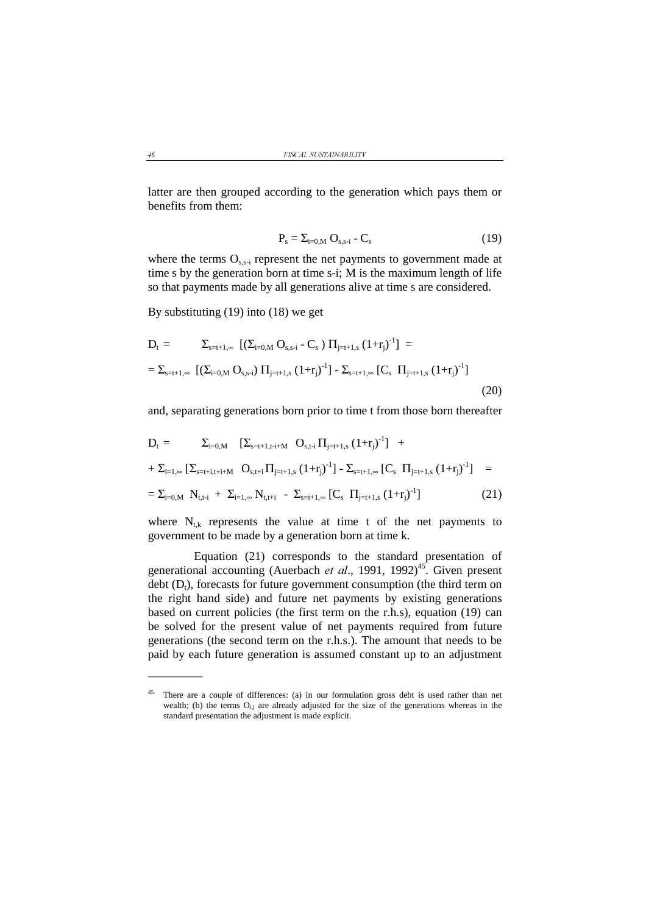latter are then grouped according to the generation which pays them or benefits from them:

$$
\mathbf{P}_s = \Sigma_{i=0,M} \, \mathbf{O}_{s,s-i} - \mathbf{C}_s \tag{19}
$$

where the terms  $O_{s,s-i}$  represent the net payments to government made at time s by the generation born at time s-i; M is the maximum length of life so that payments made by all generations alive at time s are considered.

By substituting (19) into (18) we get

$$
D_{t} = \sum_{s=t+1,\infty} [\sum_{i=0,M} O_{s,s-i} - C_{s}) \Pi_{j=t+1,s} (1+r_{j})^{-1}] =
$$
  
=  $\sum_{s=t+1,\infty} [(\sum_{i=0,M} O_{s,s-i}) \Pi_{j=t+1,s} (1+r_{j})^{-1}] - \sum_{s=t+1,\infty} [C_{s} \Pi_{j=t+1,s} (1+r_{j})^{-1}]$  (20)

and, separating generations born prior to time t from those born thereafter

$$
D_{t} = \sum_{i=0,M} \left[ \sum_{s=t+1,t-i+M} O_{s,t-i} \Pi_{j=t+1,s} (1+r_{j})^{-1} \right] +
$$
  
+  $\sum_{i=1,\infty} \left[ \sum_{s=t+i,t+i+M} O_{s,t+i} \Pi_{j=t+1,s} (1+r_{j})^{-1} \right] - \sum_{s=t+1,\infty} \left[ C_{s} \Pi_{j=t+1,s} (1+r_{j})^{-1} \right] =$   
=  $\sum_{i=0,M} N_{t,t-i} + \sum_{i=1,\infty} N_{t,t+i} - \sum_{s=t+1,\infty} \left[ C_{s} \Pi_{j=t+1,s} (1+r_{j})^{-1} \right]$  (21)

where  $N_{t,k}$  represents the value at time t of the net payments to government to be made by a generation born at time k.

Equation (21) corresponds to the standard presentation of generational accounting (Auerbach et al., 1991, 1992)<sup>45</sup>. Given present debt  $(D<sub>t</sub>)$ , forecasts for future government consumption (the third term on the right hand side) and future net payments by existing generations based on current policies (the first term on the r.h.s), equation (19) can be solved for the present value of net payments required from future generations (the second term on the r.h.s.). The amount that needs to be paid by each future generation is assumed constant up to an adjustment

<sup>45</sup> There are a couple of differences: (a) in our formulation gross debt is used rather than net wealth; (b) the terms  $O_{i,j}$  are already adjusted for the size of the generations whereas in the standard presentation the adjustment is made explicit.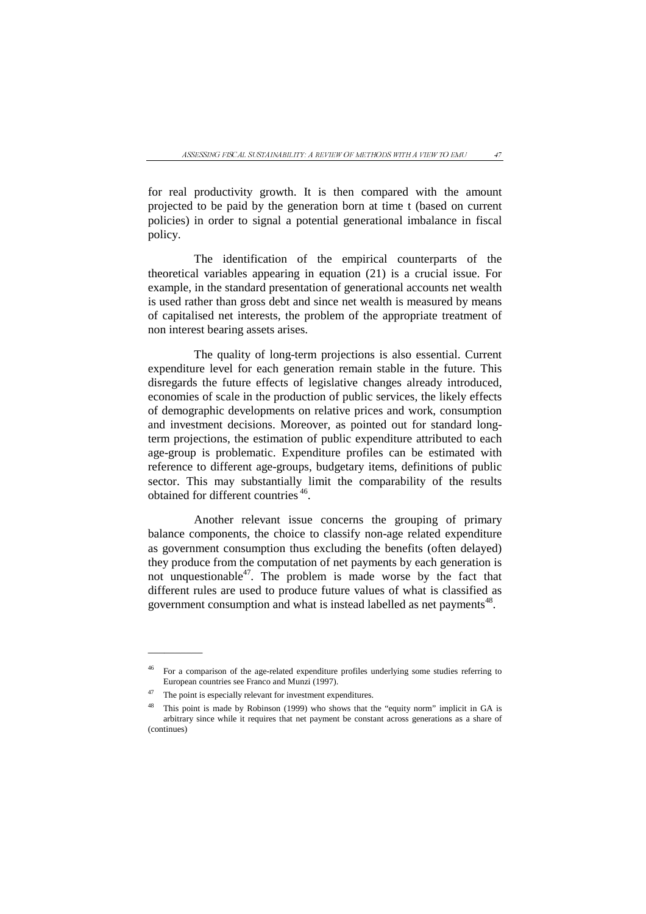for real productivity growth. It is then compared with the amount projected to be paid by the generation born at time t (based on current policies) in order to signal a potential generational imbalance in fiscal policy.

The identification of the empirical counterparts of the theoretical variables appearing in equation (21) is a crucial issue. For example, in the standard presentation of generational accounts net wealth is used rather than gross debt and since net wealth is measured by means of capitalised net interests, the problem of the appropriate treatment of non interest bearing assets arises.

The quality of long-term projections is also essential. Current expenditure level for each generation remain stable in the future. This disregards the future effects of legislative changes already introduced, economies of scale in the production of public services, the likely effects of demographic developments on relative prices and work, consumption and investment decisions. Moreover, as pointed out for standard longterm projections, the estimation of public expenditure attributed to each age-group is problematic. Expenditure profiles can be estimated with reference to different age-groups, budgetary items, definitions of public sector. This may substantially limit the comparability of the results obtained for different countries 46.

Another relevant issue concerns the grouping of primary balance components, the choice to classify non-age related expenditure as government consumption thus excluding the benefits (often delayed) they produce from the computation of net payments by each generation is not unquestionable $4^7$ . The problem is made worse by the fact that different rules are used to produce future values of what is classified as government consumption and what is instead labelled as net payments<sup>48</sup>.

<sup>46</sup> For a comparison of the age-related expenditure profiles underlying some studies referring to European countries see Franco and Munzi (1997).

<sup>47</sup> The point is especially relevant for investment expenditures.

This point is made by Robinson (1999) who shows that the "equity norm" implicit in GA is arbitrary since while it requires that net payment be constant across generations as a share of (continues)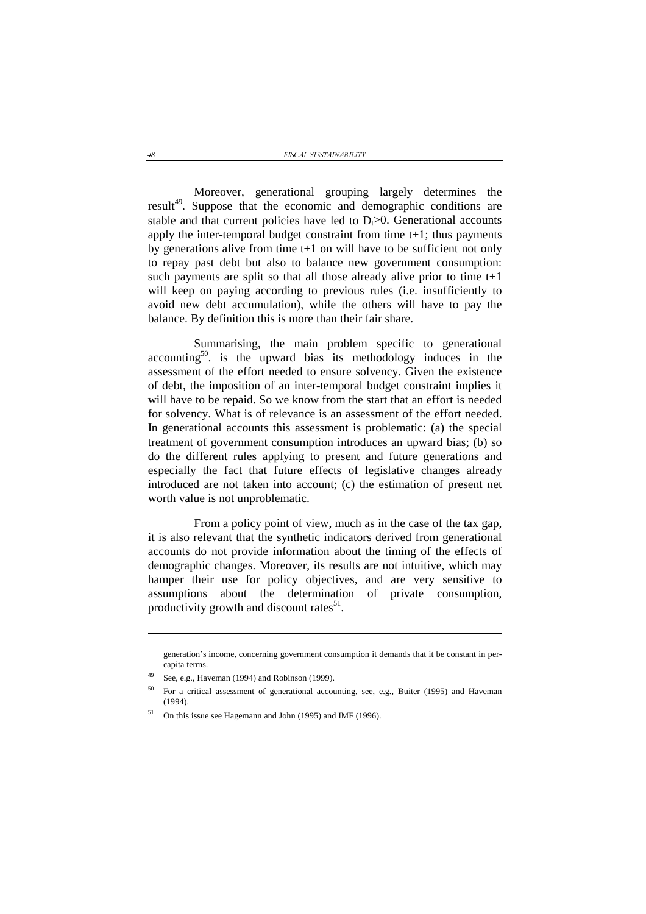Moreover, generational grouping largely determines the result<sup>49</sup>. Suppose that the economic and demographic conditions are stable and that current policies have led to  $D<sub>i</sub> > 0$ . Generational accounts apply the inter-temporal budget constraint from time t+1; thus payments by generations alive from time t+1 on will have to be sufficient not only to repay past debt but also to balance new government consumption: such payments are split so that all those already alive prior to time  $t+1$ will keep on paying according to previous rules (i.e. insufficiently to avoid new debt accumulation), while the others will have to pay the balance. By definition this is more than their fair share.

Summarising, the main problem specific to generational  $\arccos$ <sub>50</sub>. is the upward bias its methodology induces in the assessment of the effort needed to ensure solvency. Given the existence of debt, the imposition of an inter-temporal budget constraint implies it will have to be repaid. So we know from the start that an effort is needed for solvency. What is of relevance is an assessment of the effort needed. In generational accounts this assessment is problematic: (a) the special treatment of government consumption introduces an upward bias; (b) so do the different rules applying to present and future generations and especially the fact that future effects of legislative changes already introduced are not taken into account; (c) the estimation of present net worth value is not unproblematic.

From a policy point of view, much as in the case of the tax gap, it is also relevant that the synthetic indicators derived from generational accounts do not provide information about the timing of the effects of demographic changes. Moreover, its results are not intuitive, which may hamper their use for policy objectives, and are very sensitive to assumptions about the determination of private consumption, productivity growth and discount rates $51$ .

 $\overline{a}$ 

generation's income, concerning government consumption it demands that it be constant in percapita terms.

See, e.g., Haveman (1994) and Robinson (1999).

<sup>50</sup> For a critical assessment of generational accounting, see, e.g., Buiter (1995) and Haveman (1994).

<sup>51</sup> On this issue see Hagemann and John (1995) and IMF (1996).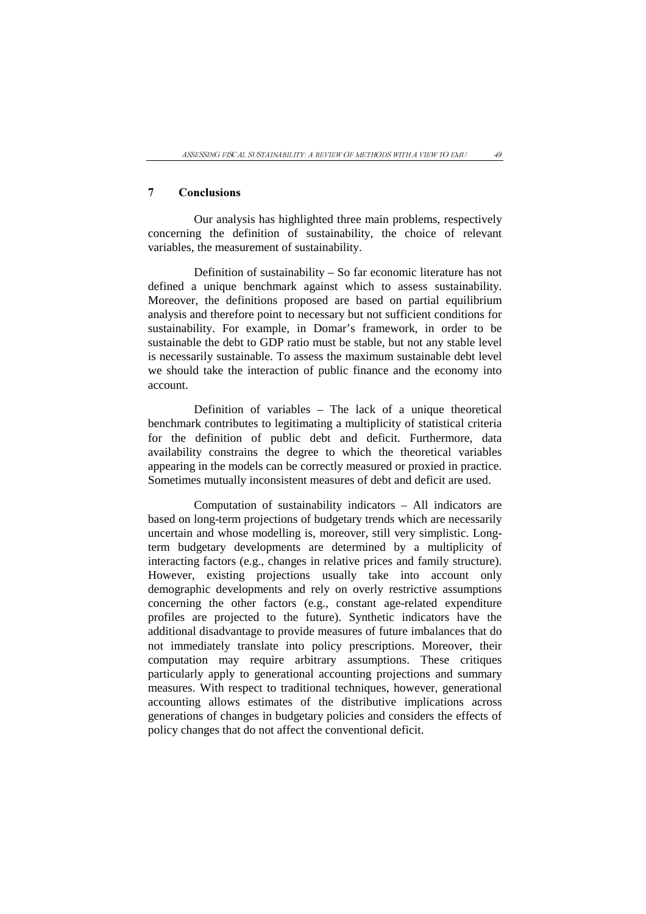### 7 Conclusions

Our analysis has highlighted three main problems, respectively concerning the definition of sustainability, the choice of relevant variables, the measurement of sustainability.

Definition of sustainability – So far economic literature has not defined a unique benchmark against which to assess sustainability. Moreover, the definitions proposed are based on partial equilibrium analysis and therefore point to necessary but not sufficient conditions for sustainability. For example, in Domar's framework, in order to be sustainable the debt to GDP ratio must be stable, but not any stable level is necessarily sustainable. To assess the maximum sustainable debt level we should take the interaction of public finance and the economy into account.

Definition of variables – The lack of a unique theoretical benchmark contributes to legitimating a multiplicity of statistical criteria for the definition of public debt and deficit. Furthermore, data availability constrains the degree to which the theoretical variables appearing in the models can be correctly measured or proxied in practice. Sometimes mutually inconsistent measures of debt and deficit are used.

Computation of sustainability indicators – All indicators are based on long-term projections of budgetary trends which are necessarily uncertain and whose modelling is, moreover, still very simplistic. Longterm budgetary developments are determined by a multiplicity of interacting factors (e.g., changes in relative prices and family structure). However, existing projections usually take into account only demographic developments and rely on overly restrictive assumptions concerning the other factors (e.g., constant age-related expenditure profiles are projected to the future). Synthetic indicators have the additional disadvantage to provide measures of future imbalances that do not immediately translate into policy prescriptions. Moreover, their computation may require arbitrary assumptions. These critiques particularly apply to generational accounting projections and summary measures. With respect to traditional techniques, however, generational accounting allows estimates of the distributive implications across generations of changes in budgetary policies and considers the effects of policy changes that do not affect the conventional deficit.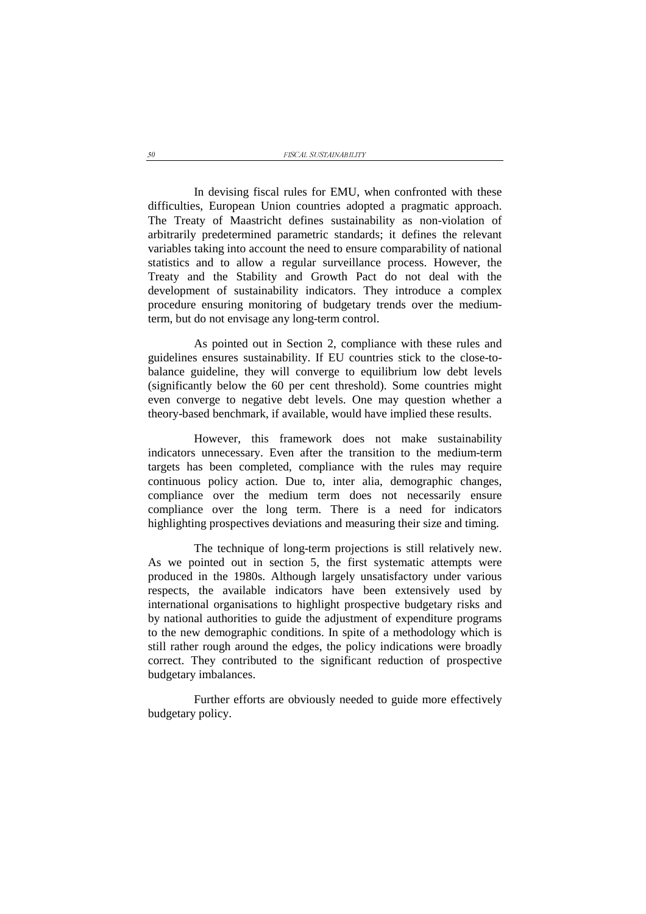In devising fiscal rules for EMU, when confronted with these difficulties, European Union countries adopted a pragmatic approach. The Treaty of Maastricht defines sustainability as non-violation of arbitrarily predetermined parametric standards; it defines the relevant variables taking into account the need to ensure comparability of national statistics and to allow a regular surveillance process. However, the Treaty and the Stability and Growth Pact do not deal with the development of sustainability indicators. They introduce a complex procedure ensuring monitoring of budgetary trends over the mediumterm, but do not envisage any long-term control.

As pointed out in Section 2, compliance with these rules and guidelines ensures sustainability. If EU countries stick to the close-tobalance guideline, they will converge to equilibrium low debt levels (significantly below the 60 per cent threshold). Some countries might even converge to negative debt levels. One may question whether a theory-based benchmark, if available, would have implied these results.

However, this framework does not make sustainability indicators unnecessary. Even after the transition to the medium-term targets has been completed, compliance with the rules may require continuous policy action. Due to, inter alia, demographic changes, compliance over the medium term does not necessarily ensure compliance over the long term. There is a need for indicators highlighting prospectives deviations and measuring their size and timing.

The technique of long-term projections is still relatively new. As we pointed out in section 5, the first systematic attempts were produced in the 1980s. Although largely unsatisfactory under various respects, the available indicators have been extensively used by international organisations to highlight prospective budgetary risks and by national authorities to guide the adjustment of expenditure programs to the new demographic conditions. In spite of a methodology which is still rather rough around the edges, the policy indications were broadly correct. They contributed to the significant reduction of prospective budgetary imbalances.

Further efforts are obviously needed to guide more effectively budgetary policy.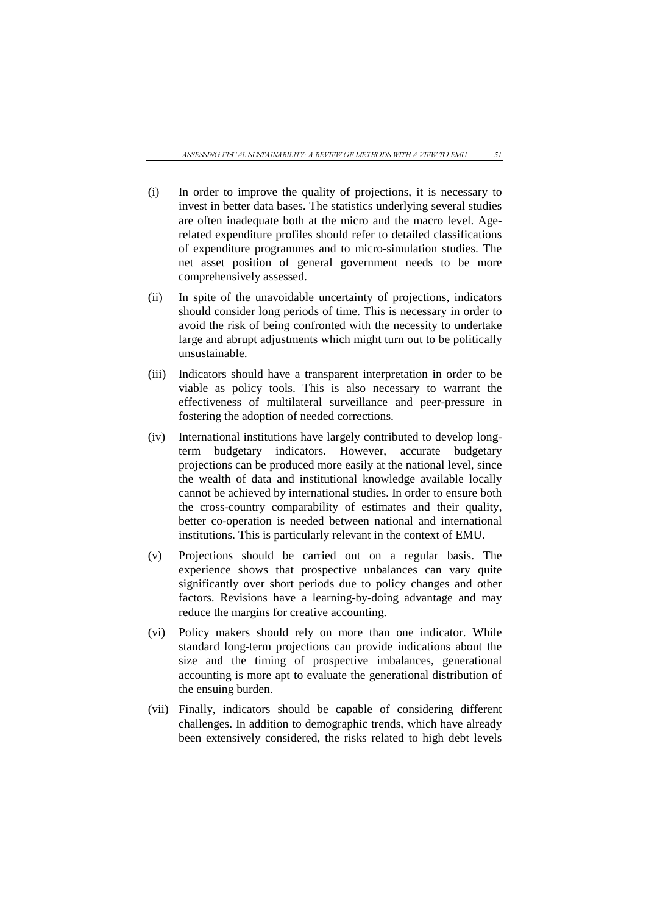- (i) In order to improve the quality of projections, it is necessary to invest in better data bases. The statistics underlying several studies are often inadequate both at the micro and the macro level. Agerelated expenditure profiles should refer to detailed classifications of expenditure programmes and to micro-simulation studies. The net asset position of general government needs to be more comprehensively assessed.
- (ii) In spite of the unavoidable uncertainty of projections, indicators should consider long periods of time. This is necessary in order to avoid the risk of being confronted with the necessity to undertake large and abrupt adjustments which might turn out to be politically unsustainable.
- (iii) Indicators should have a transparent interpretation in order to be viable as policy tools. This is also necessary to warrant the effectiveness of multilateral surveillance and peer-pressure in fostering the adoption of needed corrections.
- (iv) International institutions have largely contributed to develop longterm budgetary indicators. However, accurate budgetary projections can be produced more easily at the national level, since the wealth of data and institutional knowledge available locally cannot be achieved by international studies. In order to ensure both the cross-country comparability of estimates and their quality, better co-operation is needed between national and international institutions. This is particularly relevant in the context of EMU.
- (v) Projections should be carried out on a regular basis. The experience shows that prospective unbalances can vary quite significantly over short periods due to policy changes and other factors. Revisions have a learning-by-doing advantage and may reduce the margins for creative accounting.
- (vi) Policy makers should rely on more than one indicator. While standard long-term projections can provide indications about the size and the timing of prospective imbalances, generational accounting is more apt to evaluate the generational distribution of the ensuing burden.
- (vii) Finally, indicators should be capable of considering different challenges. In addition to demographic trends, which have already been extensively considered, the risks related to high debt levels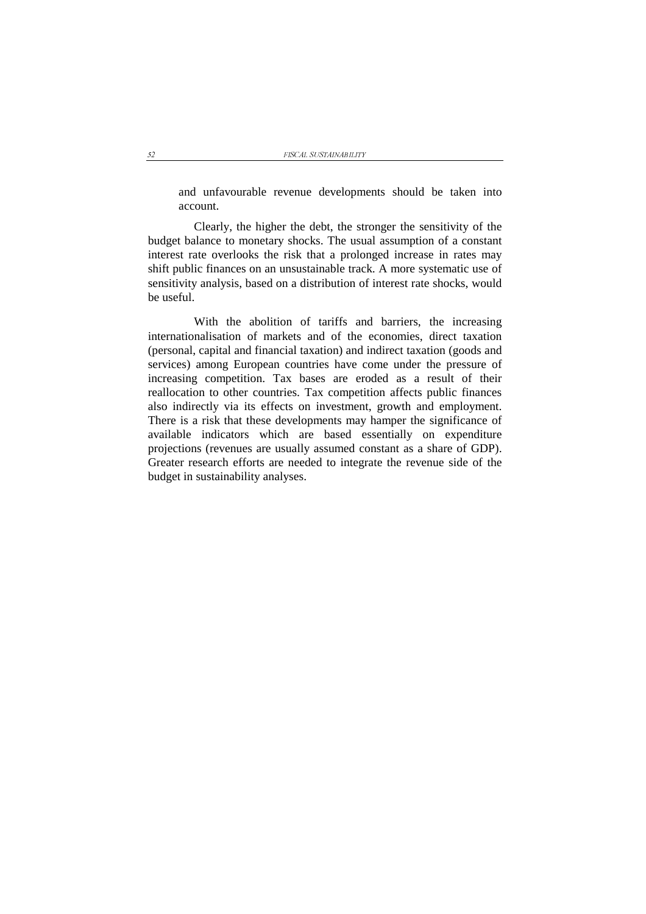and unfavourable revenue developments should be taken into account.

Clearly, the higher the debt, the stronger the sensitivity of the budget balance to monetary shocks. The usual assumption of a constant interest rate overlooks the risk that a prolonged increase in rates may shift public finances on an unsustainable track. A more systematic use of sensitivity analysis, based on a distribution of interest rate shocks, would be useful.

With the abolition of tariffs and barriers, the increasing internationalisation of markets and of the economies, direct taxation (personal, capital and financial taxation) and indirect taxation (goods and services) among European countries have come under the pressure of increasing competition. Tax bases are eroded as a result of their reallocation to other countries. Tax competition affects public finances also indirectly via its effects on investment, growth and employment. There is a risk that these developments may hamper the significance of available indicators which are based essentially on expenditure projections (revenues are usually assumed constant as a share of GDP). Greater research efforts are needed to integrate the revenue side of the budget in sustainability analyses.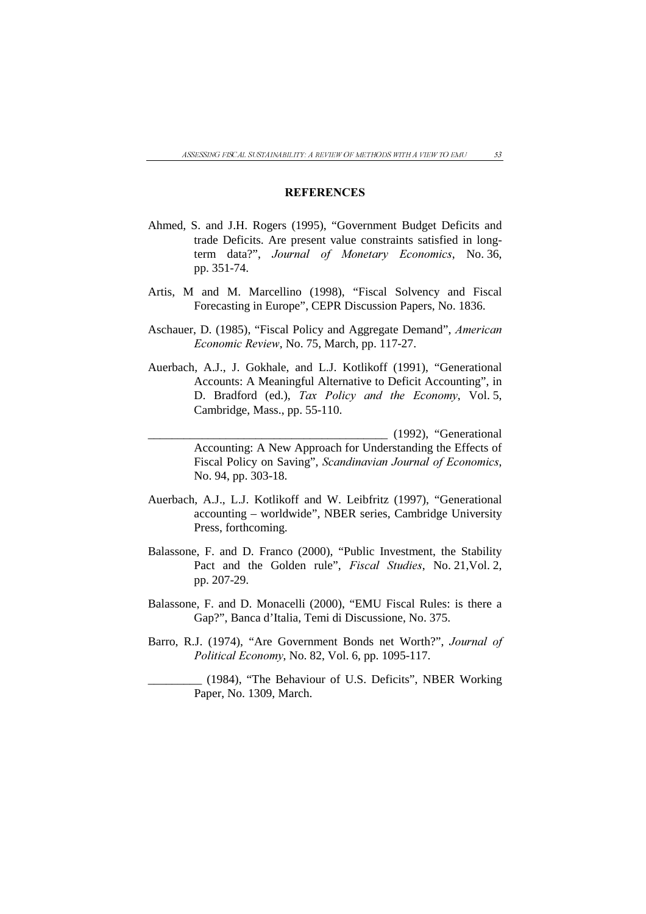#### **REFERENCES**

- Ahmed, S. and J.H. Rogers (1995), "Government Budget Deficits and trade Deficits. Are present value constraints satisfied in longterm data?", Journal of Monetary Economics, No. 36, pp. 351-74.
- Artis, M and M. Marcellino (1998), "Fiscal Solvency and Fiscal Forecasting in Europe", CEPR Discussion Papers, No. 1836.
- Aschauer, D. (1985), "Fiscal Policy and Aggregate Demand", American Economic Review, No. 75, March, pp. 117-27.
- Auerbach, A.J., J. Gokhale, and L.J. Kotlikoff (1991), "Generational Accounts: A Meaningful Alternative to Deficit Accounting", in D. Bradford (ed.), Tax Policy and the Economy, Vol. 5, Cambridge, Mass., pp. 55-110.

 $(1992)$ , "Generational Accounting: A New Approach for Understanding the Effects of Fiscal Policy on Saving", Scandinavian Journal of Economics, No. 94, pp. 303-18.

- Auerbach, A.J., L.J. Kotlikoff and W. Leibfritz (1997), "Generational accounting – worldwide", NBER series, Cambridge University Press, forthcoming.
- Balassone, F. and D. Franco (2000), "Public Investment, the Stability Pact and the Golden rule", Fiscal Studies, No. 21, Vol. 2, pp. 207-29.
- Balassone, F. and D. Monacelli (2000), "EMU Fiscal Rules: is there a Gap?", Banca d'Italia, Temi di Discussione, No. 375.
- Barro, R.J. (1974), "Are Government Bonds net Worth?", Journal of Political Economy, No. 82, Vol. 6, pp. 1095-117.

\_\_\_\_\_\_\_\_\_ (1984), "The Behaviour of U.S. Deficits", NBER Working Paper, No. 1309, March.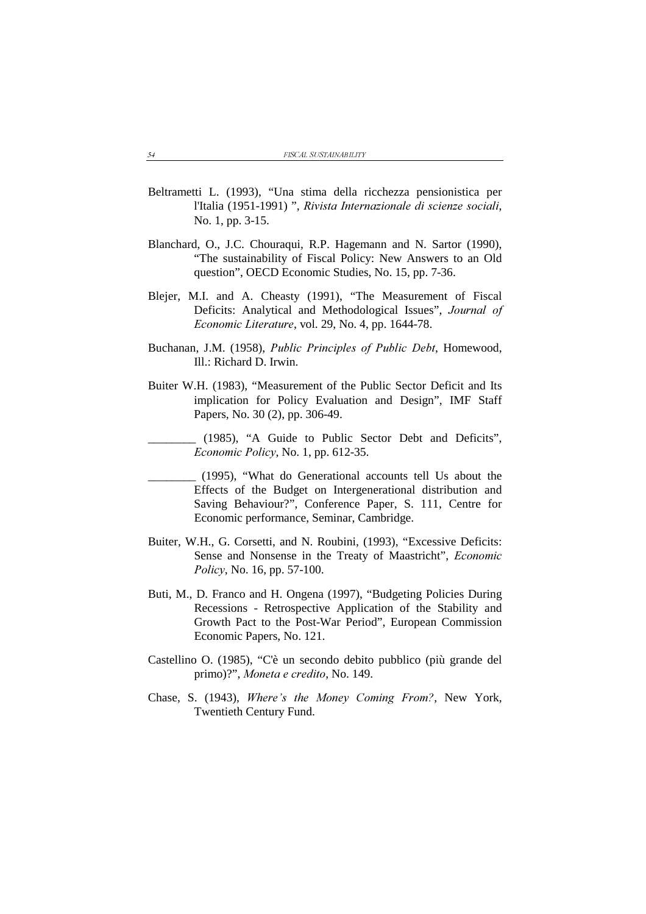- Beltrametti L. (1993), "Una stima della ricchezza pensionistica per l'Italia (1951-1991) ", Rivista Internazionale di scienze sociali, No. 1, pp. 3-15.
- Blanchard, O., J.C. Chouraqui, R.P. Hagemann and N. Sartor (1990), "The sustainability of Fiscal Policy: New Answers to an Old question", OECD Economic Studies, No. 15, pp. 7-36.
- Blejer, M.I. and A. Cheasty (1991), "The Measurement of Fiscal Deficits: Analytical and Methodological Issues", Journal of Economic Literature, vol. 29, No. 4, pp. 1644-78.
- Buchanan, J.M. (1958), Public Principles of Public Debt, Homewood, Ill.: Richard D. Irwin.
- Buiter W.H. (1983), "Measurement of the Public Sector Deficit and Its implication for Policy Evaluation and Design", IMF Staff Papers, No. 30 (2), pp. 306-49.
- \_\_\_\_\_\_\_\_ (1985), "A Guide to Public Sector Debt and Deficits", Economic Policy, No. 1, pp. 612-35.
- \_\_\_\_\_\_\_\_ (1995), "What do Generational accounts tell Us about the Effects of the Budget on Intergenerational distribution and Saving Behaviour?", Conference Paper, S. 111, Centre for Economic performance, Seminar, Cambridge.
- Buiter, W.H., G. Corsetti, and N. Roubini, (1993), "Excessive Deficits: Sense and Nonsense in the Treaty of Maastricht", Economic Policy, No. 16, pp. 57-100.
- Buti, M., D. Franco and H. Ongena (1997), "Budgeting Policies During Recessions - Retrospective Application of the Stability and Growth Pact to the Post-War Period", European Commission Economic Papers, No. 121.
- Castellino O. (1985), "C'è un secondo debito pubblico (più grande del primo)?", Moneta e credito, No. 149.
- Chase, S. (1943), Where's the Money Coming From?, New York, Twentieth Century Fund.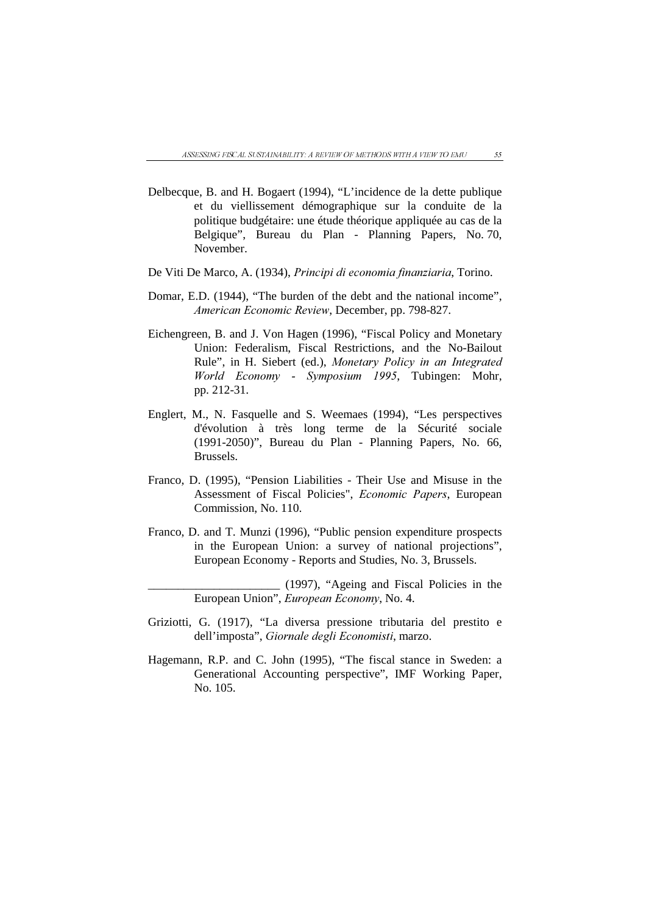- Delbecque, B. and H. Bogaert (1994), "L'incidence de la dette publique et du viellissement démographique sur la conduite de la politique budgétaire: une étude théorique appliquée au cas de la Belgique", Bureau du Plan - Planning Papers, No. 70, November.
- De Viti De Marco, A. (1934), Principi di economia finanziaria, Torino.
- Domar, E.D. (1944), "The burden of the debt and the national income", American Economic Review, December, pp. 798-827.
- Eichengreen, B. and J. Von Hagen (1996), "Fiscal Policy and Monetary Union: Federalism, Fiscal Restrictions, and the No-Bailout Rule", in H. Siebert (ed.), Monetary Policy in an Integrated World Economy - Symposium 1995, Tubingen: Mohr, pp. 212-31.
- Englert, M., N. Fasquelle and S. Weemaes (1994), "Les perspectives d'évolution à très long terme de la Sécurité sociale (1991-2050)", Bureau du Plan - Planning Papers, No. 66, Brussels.
- Franco, D. (1995), "Pension Liabilities Their Use and Misuse in the Assessment of Fiscal Policies", Economic Papers, European Commission, No. 110.
- Franco, D. and T. Munzi (1996), "Public pension expenditure prospects in the European Union: a survey of national projections", European Economy - Reports and Studies, No. 3, Brussels.

\_\_\_\_\_\_\_\_\_\_\_\_\_\_\_\_\_\_\_\_\_\_ (1997), "Ageing and Fiscal Policies in the European Union", European Economy, No. 4.

- Griziotti, G. (1917), "La diversa pressione tributaria del prestito e dell'imposta", Giornale degli Economisti, marzo.
- Hagemann, R.P. and C. John (1995), "The fiscal stance in Sweden: a Generational Accounting perspective", IMF Working Paper, No. 105.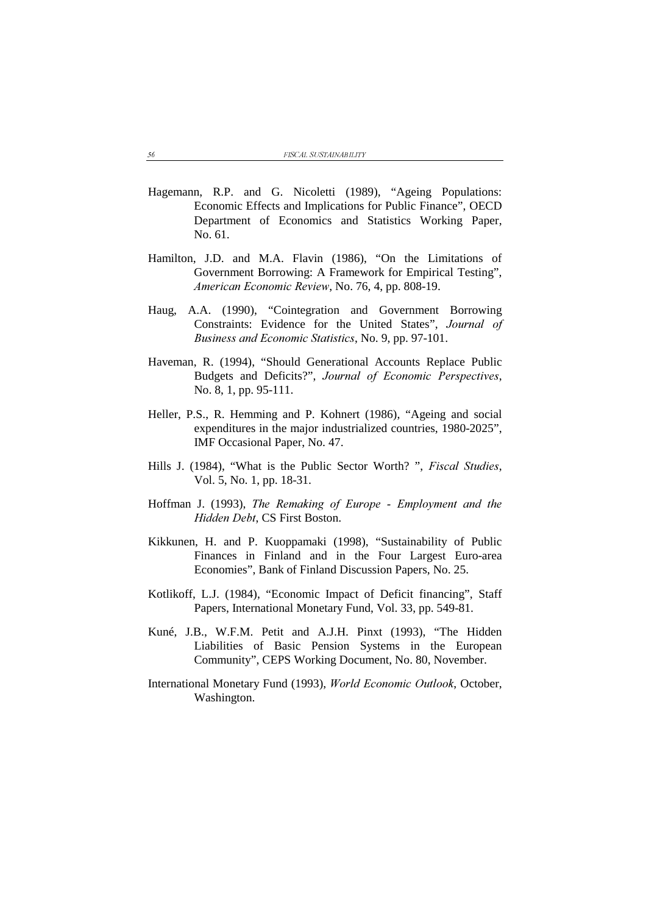- Hagemann, R.P. and G. Nicoletti (1989), "Ageing Populations: Economic Effects and Implications for Public Finance", OECD Department of Economics and Statistics Working Paper, No. 61.
- Hamilton, J.D. and M.A. Flavin (1986), "On the Limitations of Government Borrowing: A Framework for Empirical Testing", American Economic Review, No. 76, 4, pp. 808-19.
- Haug, A.A. (1990), "Cointegration and Government Borrowing Constraints: Evidence for the United States", Journal of Business and Economic Statistics, No. 9, pp. 97-101.
- Haveman, R. (1994), "Should Generational Accounts Replace Public Budgets and Deficits?", Journal of Economic Perspectives, No. 8, 1, pp. 95-111.
- Heller, P.S., R. Hemming and P. Kohnert (1986), "Ageing and social expenditures in the major industrialized countries, 1980-2025", IMF Occasional Paper, No. 47.
- Hills J. (1984), "What is the Public Sector Worth?", Fiscal Studies, Vol. 5, No. 1, pp. 18-31.
- Hoffman J. (1993), The Remaking of Europe Employment and the Hidden Debt. CS First Boston.
- Kikkunen, H. and P. Kuoppamaki (1998), "Sustainability of Public Finances in Finland and in the Four Largest Euro-area Economies", Bank of Finland Discussion Papers, No. 25.
- Kotlikoff, L.J. (1984), "Economic Impact of Deficit financing", Staff Papers, International Monetary Fund, Vol. 33, pp. 549-81.
- Kuné, J.B., W.F.M. Petit and A.J.H. Pinxt (1993), "The Hidden Liabilities of Basic Pension Systems in the European Community", CEPS Working Document, No. 80, November.
- International Monetary Fund (1993), *World Economic Outlook*, October, Washington.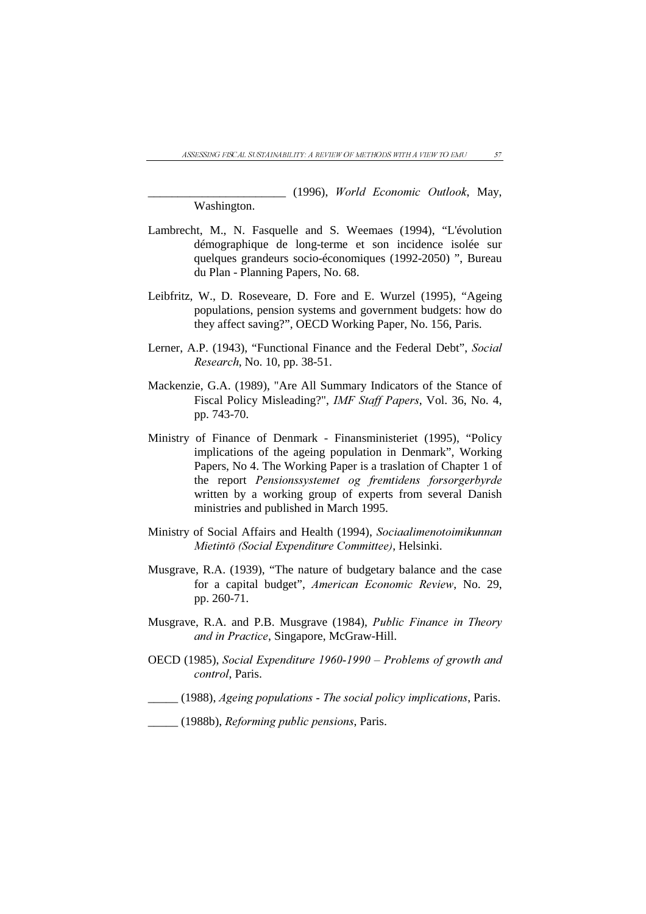$\hspace{0.1cm}$  (1996), World Economic Outlook, May, Washington.

- Lambrecht, M., N. Fasquelle and S. Weemaes (1994), "L'évolution démographique de long-terme et son incidence isolée sur quelques grandeurs socio-économiques (1992-2050) ", Bureau du Plan - Planning Papers, No. 68.
- Leibfritz, W., D. Roseveare, D. Fore and E. Wurzel (1995), "Ageing populations, pension systems and government budgets: how do they affect saving?", OECD Working Paper, No. 156, Paris.
- Lerner, A.P. (1943), "Functional Finance and the Federal Debt", Social Research, No. 10, pp. 38-51.
- Mackenzie, G.A. (1989), "Are All Summary Indicators of the Stance of Fiscal Policy Misleading?", IMF Staff Papers, Vol. 36, No. 4, pp. 743-70.
- Ministry of Finance of Denmark Finansministeriet (1995), "Policy implications of the ageing population in Denmark", Working Papers, No 4. The Working Paper is a traslation of Chapter 1 of the report Pensionssystemet og fremtidens forsorgerbyrde written by a working group of experts from several Danish ministries and published in March 1995.
- Ministry of Social Affairs and Health (1994), Sociaalimenotoimikunnan Mietintö (Social Expenditure Committee), Helsinki.
- Musgrave, R.A. (1939), "The nature of budgetary balance and the case for a capital budget", American Economic Review, No. 29, pp. 260-71.
- Musgrave, R.A. and P.B. Musgrave (1984), Public Finance in Theory and in Practice, Singapore, McGraw-Hill.
- OECD (1985), Social Expenditure 1960-1990 Problems of growth and control, Paris.
- \_\_\_\_\_ (1988), Ageing populations The social policy implications, Paris.

\_\_\_\_\_ (1988b), Reforming public pensions, Paris.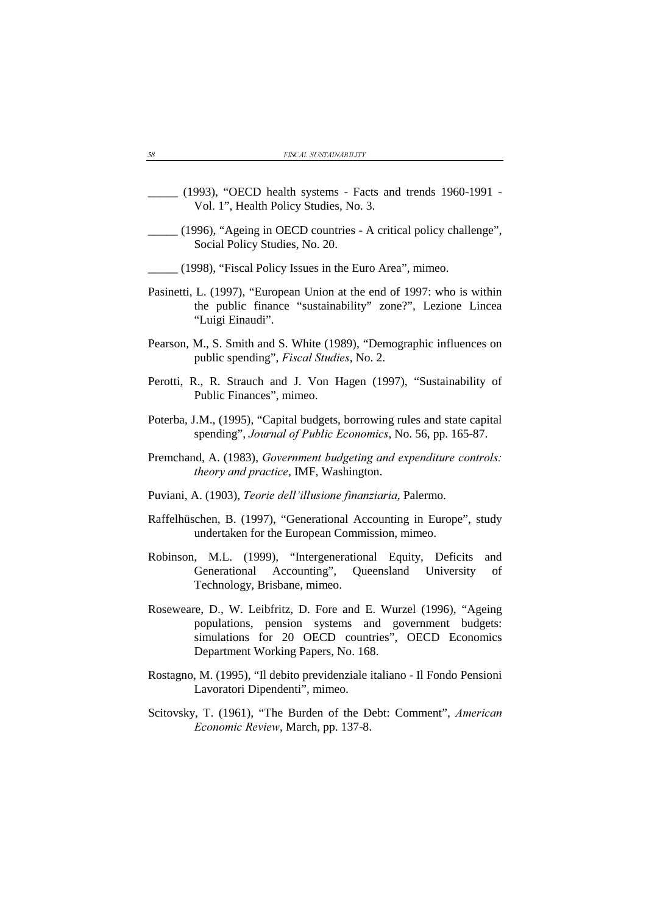- \_\_\_\_\_ (1993), "OECD health systems Facts and trends 1960-1991 Vol. 1", Health Policy Studies, No. 3.
- \_\_\_\_\_ (1996), "Ageing in OECD countries A critical policy challenge", Social Policy Studies, No. 20.
- \_\_\_\_\_ (1998), "Fiscal Policy Issues in the Euro Area", mimeo.
- Pasinetti, L. (1997), "European Union at the end of 1997: who is within the public finance "sustainability" zone?", Lezione Lincea "Luigi Einaudi".
- Pearson, M., S. Smith and S. White (1989), "Demographic influences on public spending", Fiscal Studies, No. 2.
- Perotti, R., R. Strauch and J. Von Hagen (1997), "Sustainability of Public Finances", mimeo.
- Poterba, J.M., (1995), "Capital budgets, borrowing rules and state capital spending", Journal of Public Economics, No. 56, pp. 165-87.
- Premchand, A. (1983), Government budgeting and expenditure controls: theory and practice, IMF, Washington.
- Puviani, A. (1903), Teorie dell'illusione finanziaria, Palermo.
- Raffelhüschen, B. (1997), "Generational Accounting in Europe", study undertaken for the European Commission, mimeo.
- Robinson, M.L. (1999), "Intergenerational Equity, Deficits and Generational Accounting", Queensland University of Technology, Brisbane, mimeo.
- Roseweare, D., W. Leibfritz, D. Fore and E. Wurzel (1996), "Ageing populations, pension systems and government budgets: simulations for 20 OECD countries", OECD Economics Department Working Papers, No. 168.
- Rostagno, M. (1995), "Il debito previdenziale italiano Il Fondo Pensioni Lavoratori Dipendenti", mimeo.
- Scitovsky, T. (1961), "The Burden of the Debt: Comment", American Economic Review, March, pp. 137-8.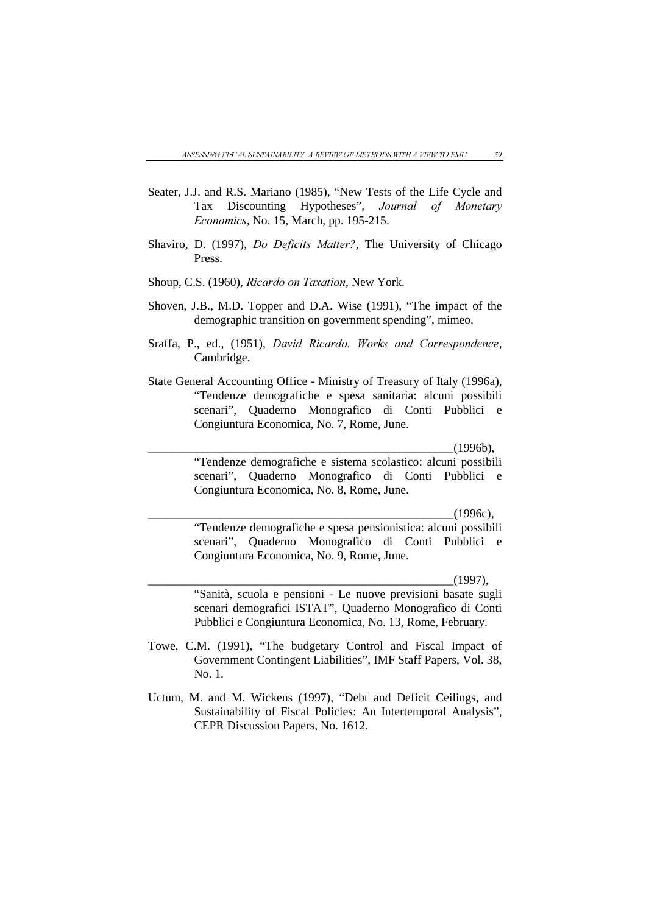- Seater, J.J. and R.S. Mariano (1985), "New Tests of the Life Cycle and Tax Discounting Hypotheses", Journal of Monetary Economics, No. 15, March, pp. 195-215.
- Shaviro, D. (1997), Do Deficits Matter?, The University of Chicago Press.
- Shoup, C.S. (1960), Ricardo on Taxation, New York.
- Shoven, J.B., M.D. Topper and D.A. Wise (1991), "The impact of the demographic transition on government spending", mimeo.
- Sraffa, P., ed., (1951), David Ricardo. Works and Correspondence, Cambridge.
- State General Accounting Office Ministry of Treasury of Italy (1996a), "Tendenze demografiche e spesa sanitaria: alcuni possibili scenari", Quaderno Monografico di Conti Pubblici e Congiuntura Economica, No. 7, Rome, June.

\_\_\_\_\_\_\_\_\_\_\_\_\_\_\_\_\_\_\_\_\_\_\_\_\_\_\_\_\_\_\_\_\_\_\_\_\_\_\_\_\_\_\_\_\_\_\_\_\_\_\_(1996b),

"Tendenze demografiche e sistema scolastico: alcuni possibili scenari", Quaderno Monografico di Conti Pubblici e Congiuntura Economica, No. 8, Rome, June.

 $(1996c)$ ,

"Tendenze demografiche e spesa pensionistica: alcuni possibili scenari", Quaderno Monografico di Conti Pubblici e Congiuntura Economica, No. 9, Rome, June.

\_\_\_\_\_\_\_\_\_\_\_\_\_\_\_\_\_\_\_\_\_\_\_\_\_\_\_\_\_\_\_\_\_\_\_\_\_\_\_\_\_\_\_\_\_\_\_\_\_\_\_(1997),

"Sanità, scuola e pensioni - Le nuove previsioni basate sugli scenari demografici ISTAT", Quaderno Monografico di Conti Pubblici e Congiuntura Economica, No. 13, Rome, February.

- Towe, C.M. (1991), "The budgetary Control and Fiscal Impact of Government Contingent Liabilities", IMF Staff Papers, Vol. 38, No. 1.
- Uctum, M. and M. Wickens (1997), "Debt and Deficit Ceilings, and Sustainability of Fiscal Policies: An Intertemporal Analysis", CEPR Discussion Papers, No. 1612.